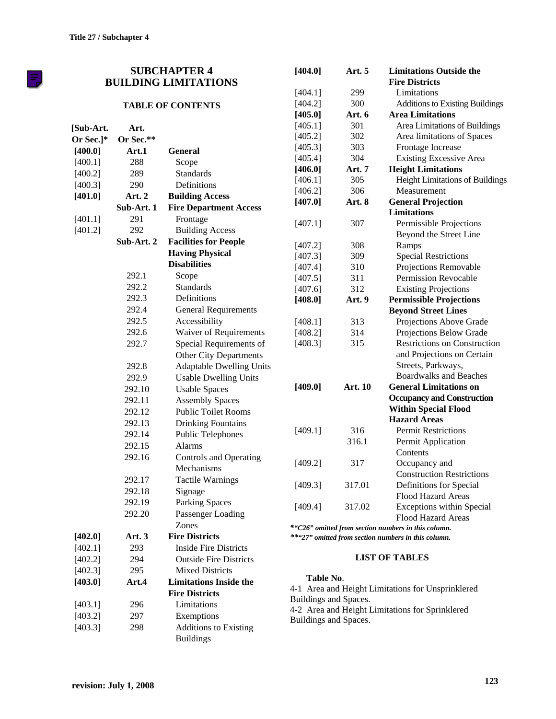FJ

|           |            | <b>SUBCHAPTER 4</b>             | [404.0]                                           | Art. 5     | <b>Limitations Outside the</b>                      |  |  |
|-----------|------------|---------------------------------|---------------------------------------------------|------------|-----------------------------------------------------|--|--|
|           |            | <b>BUILDING LIMITATIONS</b>     |                                                   |            | <b>Fire Districts</b>                               |  |  |
|           |            |                                 | [404.1]                                           | 299        | Limitations                                         |  |  |
|           |            | <b>TABLE OF CONTENTS</b>        | [404.2]                                           | 300        | Additions to Existing Buildings                     |  |  |
|           |            |                                 | [405.0]                                           | Art. 6     | <b>Area Limitations</b>                             |  |  |
| [Sub-Art. | Art.       |                                 | [405.1]                                           | 301        | Area Limitations of Buildings                       |  |  |
| Or Sec.]* | Or Sec.**  |                                 | [405.2]                                           | 302        | Area limitations of Spaces                          |  |  |
| [400.0]   | Art.1      | <b>General</b>                  | [405.3]                                           | 303        | Frontage Increase                                   |  |  |
| [400.1]   | 288        | Scope                           | [405.4]                                           | 304        | <b>Existing Excessive Area</b>                      |  |  |
| [400.2]   | 289        | <b>Standards</b>                | [406.0]                                           | Art. 7     | <b>Height Limitations</b>                           |  |  |
| [400.3]   | 290        | Definitions                     | [406.1]                                           | 305        | Height Limitations of Buildings                     |  |  |
| [401.0]   | Art. 2     | <b>Building Access</b>          | [406.2]                                           | 306        | Measurement                                         |  |  |
|           | Sub-Art. 1 | <b>Fire Department Access</b>   | [407.0]                                           | Art. 8     | <b>General Projection</b>                           |  |  |
| [401.1]   | 291        | Frontage                        |                                                   |            | <b>Limitations</b>                                  |  |  |
| [401.2]   | 292        | <b>Building Access</b>          | [407.1]                                           | 307        | Permissible Projections                             |  |  |
|           | Sub-Art. 2 | <b>Facilities for People</b>    |                                                   |            | Beyond the Street Line                              |  |  |
|           |            | <b>Having Physical</b>          | [407.2]                                           | 308        | Ramps                                               |  |  |
|           |            | <b>Disabilities</b>             | [407.3]                                           | 309        | <b>Special Restrictions</b>                         |  |  |
|           | 292.1      | Scope                           | [407.4]                                           | 310        | Projections Removable                               |  |  |
|           | 292.2      | <b>Standards</b>                | [407.5]                                           | 311        | <b>Permission Revocable</b>                         |  |  |
|           | 292.3      | Definitions                     | [407.6]                                           | 312        | <b>Existing Projections</b>                         |  |  |
|           | 292.4      |                                 | [408.0]                                           | Art. 9     | <b>Permissible Projections</b>                      |  |  |
|           | 292.5      | <b>General Requirements</b>     |                                                   |            | <b>Beyond Street Lines</b>                          |  |  |
|           |            | Accessibility                   | [408.1]                                           | 313        | Projections Above Grade                             |  |  |
|           | 292.6      | Waiver of Requirements          | [408.2]                                           | 314<br>315 | Projections Below Grade                             |  |  |
|           | 292.7      | Special Requirements of         | [408.3]                                           |            | <b>Restrictions on Construction</b>                 |  |  |
|           |            | Other City Departments          |                                                   |            | and Projections on Certain                          |  |  |
|           | 292.8      | <b>Adaptable Dwelling Units</b> |                                                   |            | Streets, Parkways,<br><b>Boardwalks and Beaches</b> |  |  |
|           | 292.9      | <b>Usable Dwelling Units</b>    | [409.0]                                           | Art. 10    | <b>General Limitations on</b>                       |  |  |
|           | 292.10     | <b>Usable Spaces</b>            |                                                   |            | <b>Occupancy and Construction</b>                   |  |  |
|           | 292.11     | <b>Assembly Spaces</b>          |                                                   |            | <b>Within Special Flood</b>                         |  |  |
|           | 292.12     | <b>Public Toilet Rooms</b>      |                                                   |            | <b>Hazard Areas</b>                                 |  |  |
|           | 292.13     | <b>Drinking Fountains</b>       | [409.1]                                           | 316        | <b>Permit Restrictions</b>                          |  |  |
|           | 292.14     | <b>Public Telephones</b>        |                                                   | 316.1      | Permit Application                                  |  |  |
|           | 292.15     | Alarms                          |                                                   |            | Contents                                            |  |  |
|           | 292.16     | <b>Controls and Operating</b>   | [409.2]                                           | 317        | Occupancy and                                       |  |  |
|           |            | Mechanisms                      |                                                   |            | <b>Construction Restrictions</b>                    |  |  |
|           | 292.17     | <b>Tactile Warnings</b>         | [409.3]                                           | 317.01     | Definitions for Special                             |  |  |
|           | 292.18     | Signage                         |                                                   |            | Flood Hazard Areas                                  |  |  |
|           | 292.19     | <b>Parking Spaces</b>           | [409.4]                                           | 317.02     | Exceptions within Special                           |  |  |
|           | 292.20     | Passenger Loading               |                                                   |            | <b>Flood Hazard Areas</b>                           |  |  |
|           |            | Zones                           |                                                   |            | *"C26" omitted from section numbers in this column. |  |  |
| [402.0]   | Art. 3     | <b>Fire Districts</b>           |                                                   |            | **"27" omitted from section numbers in this column. |  |  |
| [402.1]   | 293        | <b>Inside Fire Districts</b>    |                                                   |            |                                                     |  |  |
| [402.2]   | 294        | <b>Outside Fire Districts</b>   |                                                   |            | <b>LIST OF TABLES</b>                               |  |  |
| [402.3]   | 295        | <b>Mixed Districts</b>          | Table No.                                         |            |                                                     |  |  |
| [403.0]   | Art.4      | <b>Limitations Inside the</b>   | 4-1 Area and Height Limitations for Unsprinklered |            |                                                     |  |  |
|           |            | <b>Fire Districts</b>           | Buildings and Spaces.                             |            |                                                     |  |  |
| [403.1]   | 296        | Limitations                     |                                                   |            | 4-2 Area and Height Limitations for Sprinklered     |  |  |
| [403.2]   | 297        | Exemptions                      | Buildings and Spaces.                             |            |                                                     |  |  |
| [403.3]   | 298        | <b>Additions to Existing</b>    |                                                   |            |                                                     |  |  |
|           |            | <b>Buildings</b>                |                                                   |            |                                                     |  |  |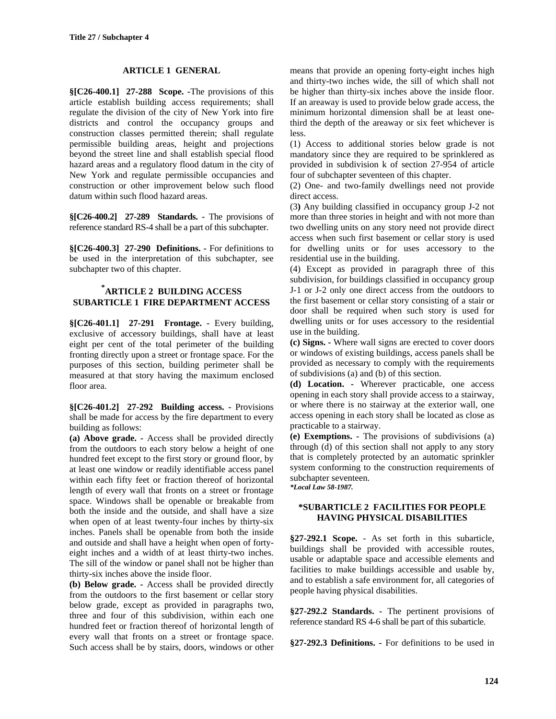## **ARTICLE 1 GENERAL**

**§[C26-400.1] 27-288 Scope. -**The provisions of this article establish building access requirements; shall regulate the division of the city of New York into fire districts and control the occupancy groups and construction classes permitted therein; shall regulate permissible building areas, height and projections beyond the street line and shall establish special flood hazard areas and a regulatory flood datum in the city of New York and regulate permissible occupancies and construction or other improvement below such flood datum within such flood hazard areas.

**§[C26-400.2] 27-289 Standards. -** The provisions of reference standard RS-4 shall be a part of this subchapter.

**§[C26-400.3] 27-290 Definitions. -** For definitions to be used in the interpretation of this subchapter, see subchapter two of this chapter.

## **\* ARTICLE 2 BUILDING ACCESS SUBARTICLE 1 FIRE DEPARTMENT ACCESS**

**§[C26-401.1] 27-291 Frontage. -** Every building, exclusive of accessory buildings, shall have at least eight per cent of the total perimeter of the building fronting directly upon a street or frontage space. For the purposes of this section, building perimeter shall be measured at that story having the maximum enclosed floor area.

**§[C26-401.2] 27-292 Building access. -** Provisions shall be made for access by the fire department to every building as follows:

**(a) Above grade. -** Access shall be provided directly from the outdoors to each story below a height of one hundred feet except to the first story or ground floor, by at least one window or readily identifiable access panel within each fifty feet or fraction thereof of horizontal length of every wall that fronts on a street or frontage space. Windows shall be openable or breakable from both the inside and the outside, and shall have a size when open of at least twenty-four inches by thirty-six inches. Panels shall be openable from both the inside and outside and shall have a height when open of fortyeight inches and a width of at least thirty-two inches. The sill of the window or panel shall not be higher than thirty-six inches above the inside floor.

**(b) Below grade. -** Access shall be provided directly from the outdoors to the first basement or cellar story below grade, except as provided in paragraphs two, three and four of this subdivision, within each one hundred feet or fraction thereof of horizontal length of every wall that fronts on a street or frontage space. Such access shall be by stairs, doors, windows or other means that provide an opening forty-eight inches high and thirty-two inches wide, the sill of which shall not be higher than thirty-six inches above the inside floor. If an areaway is used to provide below grade access, the minimum horizontal dimension shall be at least onethird the depth of the areaway or six feet whichever is less.

(1) Access to additional stories below grade is not mandatory since they are required to be sprinklered as provided in subdivision k of section 27-954 of article four of subchapter seventeen of this chapter.

(2) One- and two-family dwellings need not provide direct access.

(3**)** Any building classified in occupancy group J-2 not more than three stories in height and with not more than two dwelling units on any story need not provide direct access when such first basement or cellar story is used for dwelling units or for uses accessory to the residential use in the building.

(4) Except as provided in paragraph three of this subdivision, for buildings classified in occupancy group J-1 or J-2 only one direct access from the outdoors to the first basement or cellar story consisting of a stair or door shall be required when such story is used for dwelling units or for uses accessory to the residential use in the building.

**(c) Signs. -** Where wall signs are erected to cover doors or windows of existing buildings, access panels shall be provided as necessary to comply with the requirements of subdivisions (a) and (b) of this section.

**(d) Location. -** Wherever practicable, one access opening in each story shall provide access to a stairway, or where there is no stairway at the exterior wall, one access opening in each story shall be located as close as practicable to a stairway.

**(e) Exemptions. -** The provisions of subdivisions (a) through (d) of this section shall not apply to any story that is completely protected by an automatic sprinkler system conforming to the construction requirements of subchapter seventeen.

*\*Local Law 58-1987.*

#### **\*SUBARTICLE 2 FACILITIES FOR PEOPLE HAVING PHYSICAL DISABILITIES**

**§27-292.1 Scope.** - As set forth in this subarticle, buildings shall be provided with accessible routes, usable or adaptable space and accessible elements and facilities to make buildings accessible and usable by, and to establish a safe environment for, all categories of people having physical disabilities.

**§27-292.2 Standards. -** The pertinent provisions of reference standard RS 4-6 shall be part of this subarticle.

**§27-292.3 Definitions. -** For definitions to be used in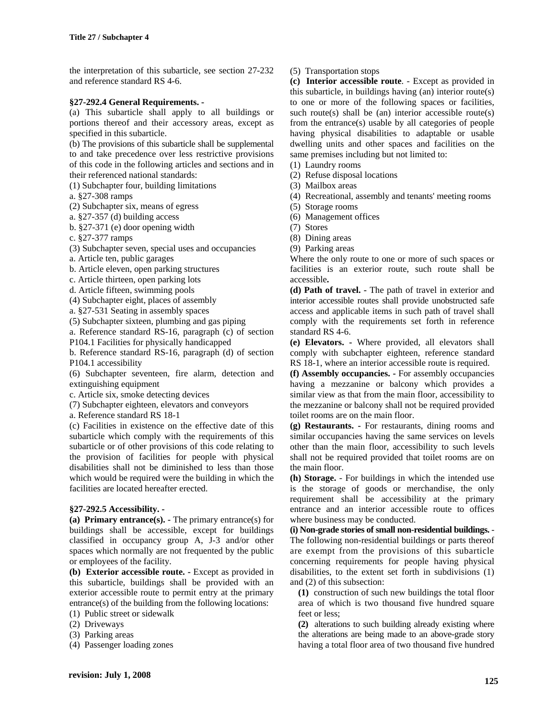the interpretation of this subarticle, see section 27-232 and reference standard RS 4-6.

#### **§27-292.4 General Requirements. -**

(a) This subarticle shall apply to all buildings or portions thereof and their accessory areas, except as specified in this subarticle.

(b) The provisions of this subarticle shall be supplemental to and take precedence over less restrictive provisions of this code in the following articles and sections and in their referenced national standards:

(1) Subchapter four, building limitations

a. §27-308 ramps

(2) Subchapter six, means of egress

a. §27-357 (d) building access

b. §27-371 (e) door opening width

c. §27-377 ramps

(3) Subchapter seven, special uses and occupancies

a. Article ten, public garages

b. Article eleven, open parking structures

c. Article thirteen, open parking lots

d. Article fifteen, swimming pools

(4) Subchapter eight, places of assembly

a. §27-531 Seating in assembly spaces

(5) Subchapter sixteen, plumbing and gas piping

a. Reference standard RS-16, paragraph (c) of section P104.1 Facilities for physically handicapped

b. Reference standard RS-16, paragraph (d) of section P104.1 accessibility

(6) Subchapter seventeen, fire alarm, detection and extinguishing equipment

c. Article six, smoke detecting devices

(7) Subchapter eighteen, elevators and conveyors

a. Reference standard RS 18-1

(c) Facilities in existence on the effective date of this subarticle which comply with the requirements of this subarticle or of other provisions of this code relating to the provision of facilities for people with physical disabilities shall not be diminished to less than those which would be required were the building in which the facilities are located hereafter erected.

#### **§27-292.5 Accessibility. -**

**(a) Primary entrance(s). -** The primary entrance(s) for buildings shall be accessible, except for buildings classified in occupancy group A, J-3 and/or other spaces which normally are not frequented by the public or employees of the facility.

**(b) Exterior accessible route. -** Except as provided in this subarticle, buildings shall be provided with an exterior accessible route to permit entry at the primary entrance(s) of the building from the following locations:

- (1) Public street or sidewalk
- (2) Driveways
- (3) Parking areas

(4) Passenger loading zones

#### (5) Transportation stops

**(c) Interior accessible route**. - Except as provided in this subarticle, in buildings having (an) interior route(s) to one or more of the following spaces or facilities, such route(s) shall be (an) interior accessible route(s) from the entrance(s) usable by all categories of people having physical disabilities to adaptable or usable dwelling units and other spaces and facilities on the same premises including but not limited to:

(1) Laundry rooms

(2) Refuse disposal locations

(3) Mailbox areas

(4) Recreational, assembly and tenants' meeting rooms

(5) Storage rooms

- (6) Management offices
- (7) Stores
- (8) Dining areas
- (9) Parking areas

Where the only route to one or more of such spaces or facilities is an exterior route, such route shall be accessible**.**

**(d) Path of travel. -** The path of travel in exterior and interior accessible routes shall provide unobstructed safe access and applicable items in such path of travel shall comply with the requirements set forth in reference standard RS 4-6.

**(e) Elevators. -** Where provided, all elevators shall comply with subchapter eighteen, reference standard RS 18-1, where an interior accessible route is required.

**(f) Assembly occupancies. -** For assembly occupancies having a mezzanine or balcony which provides a similar view as that from the main floor, accessibility to the mezzanine or balcony shall not be required provided toilet rooms are on the main floor.

**(g) Restaurants. -** For restaurants, dining rooms and similar occupancies having the same services on levels other than the main floor, accessibility to such levels shall not be required provided that toilet rooms are on the main floor.

**(h) Storage.** - For buildings in which the intended use is the storage of goods or merchandise, the only requirement shall be accessibility at the primary entrance and an interior accessible route to offices where business may be conducted.

**(i) Non-grade stories of small non-residential buildings.** - The following non-residential buildings or parts thereof are exempt from the provisions of this subarticle concerning requirements for people having physical disabilities, to the extent set forth in subdivisions (1) and (2) of this subsection:

**(1)** construction of such new buildings the total floor area of which is two thousand five hundred square feet or less;

**(2)** alterations to such building already existing where the alterations are being made to an above-grade story having a total floor area of two thousand five hundred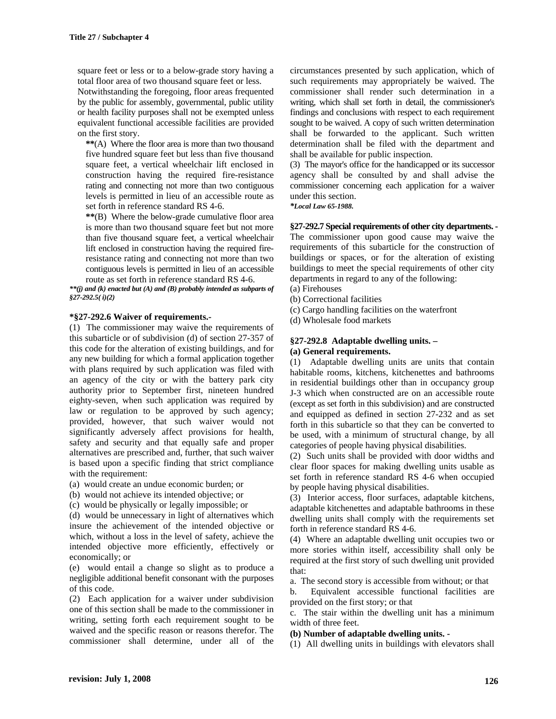square feet or less or to a below-grade story having a total floor area of two thousand square feet or less.

Notwithstanding the foregoing, floor areas frequented by the public for assembly, governmental, public utility or health facility purposes shall not be exempted unless equivalent functional accessible facilities are provided on the first story.

**\*\***(A) Where the floor area is more than two thousand five hundred square feet but less than five thousand square feet, a vertical wheelchair lift enclosed in construction having the required fire-resistance rating and connecting not more than two contiguous levels is permitted in lieu of an accessible route as set forth in reference standard RS 4-6.

**\*\***(B) Where the below-grade cumulative floor area is more than two thousand square feet but not more than five thousand square feet, a vertical wheelchair lift enclosed in construction having the required fireresistance rating and connecting not more than two contiguous levels is permitted in lieu of an accessible route as set forth in reference standard RS 4-6.

*\*\*(j) and (k) enacted but (A) and (B) probably intended as subparts of §27-292.5( i)(2)*

#### **\*§27-292.6 Waiver of requirements.-**

(1) The commissioner may waive the requirements of this subarticle or of subdivision (d) of section 27-357 of this code for the alteration of existing buildings, and for any new building for which a formal application together with plans required by such application was filed with an agency of the city or with the battery park city authority prior to September first, nineteen hundred eighty-seven, when such application was required by law or regulation to be approved by such agency; provided, however, that such waiver would not significantly adversely affect provisions for health, safety and security and that equally safe and proper alternatives are prescribed and, further, that such waiver is based upon a specific finding that strict compliance with the requirement:

- (a) would create an undue economic burden; or
- (b) would not achieve its intended objective; or
- (c) would be physically or legally impossible; or

(d) would be unnecessary in light of alternatives which insure the achievement of the intended objective or which, without a loss in the level of safety, achieve the intended objective more efficiently, effectively or economically; or

(e) would entail a change so slight as to produce a negligible additional benefit consonant with the purposes of this code.

(2) Each application for a waiver under subdivision one of this section shall be made to the commissioner in writing, setting forth each requirement sought to be waived and the specific reason or reasons therefor. The commissioner shall determine, under all of the

circumstances presented by such application, which of such requirements may appropriately be waived. The commissioner shall render such determination in a writing, which shall set forth in detail, the commissioner's findings and conclusions with respect to each requirement sought to be waived. A copy of such written determination shall be forwarded to the applicant. Such written determination shall be filed with the department and shall be available for public inspection.

(3) The mayor's office for the handicapped or its successor agency shall be consulted by and shall advise the commissioner concerning each application for a waiver under this section.

*\*Local Law 65-1988.*

**§27-292.7 Special requirements of other city departments. -** The commissioner upon good cause may waive the requirements of this subarticle for the construction of buildings or spaces, or for the alteration of existing buildings to meet the special requirements of other city departments in regard to any of the following:

(a) Firehouses

- (b) Correctional facilities
- (c) Cargo handling facilities on the waterfront
- (d) Wholesale food markets

## **§27-292.8 Adaptable dwelling units. – (a) General requirements.**

(1) Adaptable dwelling units are units that contain habitable rooms, kitchens, kitchenettes and bathrooms in residential buildings other than in occupancy group J-3 which when constructed are on an accessible route (except as set forth in this subdivision) and are constructed and equipped as defined in section 27-232 and as set forth in this subarticle so that they can be converted to be used, with a minimum of structural change, by all categories of people having physical disabilities.

(2) Such units shall be provided with door widths and clear floor spaces for making dwelling units usable as set forth in reference standard RS 4-6 when occupied by people having physical disabilities.

(3) Interior access, floor surfaces, adaptable kitchens, adaptable kitchenettes and adaptable bathrooms in these dwelling units shall comply with the requirements set forth in reference standard RS 4-6.

(4) Where an adaptable dwelling unit occupies two or more stories within itself, accessibility shall only be required at the first story of such dwelling unit provided that:

a. The second story is accessible from without; or that

b. Equivalent accessible functional facilities are provided on the first story; or that

c. The stair within the dwelling unit has a minimum width of three feet.

#### **(b) Number of adaptable dwelling units. -**

(1) All dwelling units in buildings with elevators shall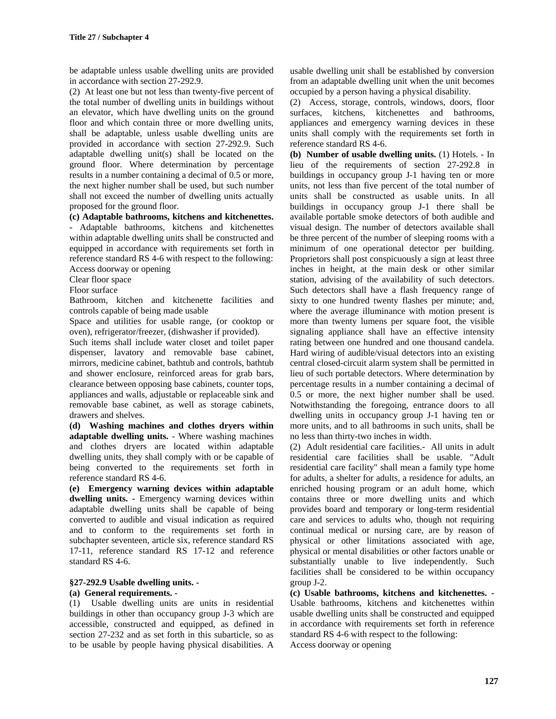be adaptable unless usable dwelling units are provided in accordance with section 27-292.9.

(2) At least one but not less than twenty-five percent of the total number of dwelling units in buildings without an elevator, which have dwelling units on the ground floor and which contain three or more dwelling units, shall be adaptable, unless usable dwelling units are provided in accordance with section 27-292.9. Such adaptable dwelling unit(s) shall be located on the ground floor. Where determination by percentage results in a number containing a decimal of 0.5 or more, the next higher number shall be used, but such number shall not exceed the number of dwelling units actually proposed for the ground floor.

**(c) Adaptable bathrooms, kitchens and kitchenettes.**

**-** Adaptable bathrooms, kitchens and kitchenettes within adaptable dwelling units shall be constructed and equipped in accordance with requirements set forth in reference standard RS 4-6 with respect to the following: Access doorway or opening

Clear floor space

Floor surface

Bathroom, kitchen and kitchenette facilities and controls capable of being made usable

Space and utilities for usable range, (or cooktop or oven), refrigerator/freezer, (dishwasher if provided).

Such items shall include water closet and toilet paper dispenser, lavatory and removable base cabinet, mirrors, medicine cabinet, bathtub and controls, bathtub and shower enclosure, reinforced areas for grab bars, clearance between opposing base cabinets, counter tops, appliances and walls, adjustable or replaceable sink and removable base cabinet, as well as storage cabinets, drawers and shelves.

**(d) Washing machines and clothes dryers within adaptable dwelling units.** - Where washing machines and clothes dryers are located within adaptable dwelling units, they shall comply with or be capable of being converted to the requirements set forth in reference standard RS 4-6.

**(e) Emergency warning devices within adaptable dwelling units. -** Emergency warning devices within adaptable dwelling units shall be capable of being converted to audible and visual indication as required and to conform to the requirements set forth in subchapter seventeen, article six, reference standard RS 17-11, reference standard RS 17-12 and reference standard RS 4-6.

## **§27-292.9 Usable dwelling units. -**

### **(a) General requirements. -**

(1) Usable dwelling units are units in residential buildings in other than occupancy group J-3 which are accessible, constructed and equipped, as defined in section 27-232 and as set forth in this subarticle, so as to be usable by people having physical disabilities. A usable dwelling unit shall be established by conversion from an adaptable dwelling unit when the unit becomes occupied by a person having a physical disability.

(2) Access, storage, controls, windows, doors, floor surfaces, kitchens, kitchenettes and bathrooms, appliances and emergency warning devices in these units shall comply with the requirements set forth in reference standard RS 4-6.

**(b) Number of usable dwelling units.** (1) Hotels. - In lieu of the requirements of section 27-292.8 in buildings in occupancy group J-1 having ten or more units, not less than five percent of the total number of units shall be constructed as usable units. In all buildings in occupancy group J-1 there shall be available portable smoke detectors of both audible and visual design. The number of detectors available shall be three percent of the number of sleeping rooms with a minimum of one operational detector per building. Proprietors shall post conspicuously a sign at least three inches in height, at the main desk or other similar station, advising of the availability of such detectors. Such detectors shall have a flash frequency range of sixty to one hundred twenty flashes per minute; and, where the average illuminance with motion present is more than twenty lumens per square foot, the visible signaling appliance shall have an effective intensity rating between one hundred and one thousand candela. Hard wiring of audible/visual detectors into an existing central closed-circuit alarm system shall be permitted in lieu of such portable detectors. Where determination by percentage results in a number containing a decimal of 0.5 or more, the next higher number shall be used. Notwithstanding the foregoing, entrance doors to all dwelling units in occupancy group J-1 having ten or more units, and to all bathrooms in such units, shall be no less than thirty-two inches in width.

(2) Adult residential care facilities.- All units in adult residential care facilities shall be usable. "Adult residential care facility" shall mean a family type home for adults, a shelter for adults, a residence for adults, an enriched housing program or an adult home, which contains three or more dwelling units and which provides board and temporary or long-term residential care and services to adults who, though not requiring continual medical or nursing care, are by reason of physical or other limitations associated with age, physical or mental disabilities or other factors unable or substantially unable to live independently. Such facilities shall be considered to be within occupancy group J-2.

**(c) Usable bathrooms, kitchens and kitchenettes. -** Usable bathrooms, kitchens and kitchenettes within usable dwelling units shall be constructed and equipped in accordance with requirements set forth in reference standard RS 4-6 with respect to the following: Access doorway or opening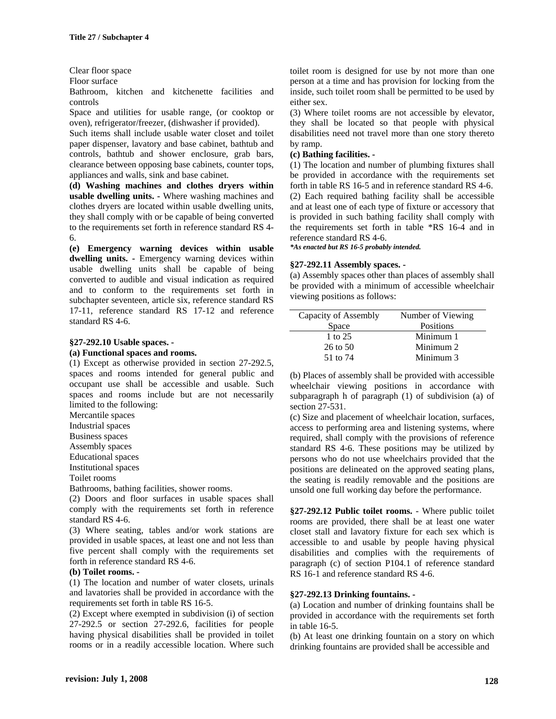#### Clear floor space

Floor surface

Bathroom, kitchen and kitchenette facilities and controls

Space and utilities for usable range, (or cooktop or oven), refrigerator/freezer, (dishwasher if provided).

Such items shall include usable water closet and toilet paper dispenser, lavatory and base cabinet, bathtub and controls, bathtub and shower enclosure, grab bars, clearance between opposing base cabinets, counter tops, appliances and walls, sink and base cabinet.

**(d) Washing machines and clothes dryers within usable dwelling units. -** Where washing machines and clothes dryers are located within usable dwelling units, they shall comply with or be capable of being converted to the requirements set forth in reference standard RS 4- 6.

**(e) Emergency warning devices within usable dwelling units. -** Emergency warning devices within usable dwelling units shall be capable of being converted to audible and visual indication as required and to conform to the requirements set forth in subchapter seventeen, article six, reference standard RS 17-11, reference standard RS 17-12 and reference standard RS 4-6.

# **§27-292.10 Usable spaces. -**

### **(a) Functional spaces and rooms.**

(1) Except as otherwise provided in section 27-292.5, spaces and rooms intended for general public and occupant use shall be accessible and usable. Such spaces and rooms include but are not necessarily limited to the following:

Mercantile spaces

Industrial spaces

Business spaces

Assembly spaces

Educational spaces

Institutional spaces

Toilet rooms

Bathrooms, bathing facilities, shower rooms.

(2) Doors and floor surfaces in usable spaces shall comply with the requirements set forth in reference standard RS 4-6.

(3) Where seating, tables and/or work stations are provided in usable spaces, at least one and not less than five percent shall comply with the requirements set forth in reference standard RS 4-6.

#### **(b) Toilet rooms. -**

(1) The location and number of water closets, urinals and lavatories shall be provided in accordance with the requirements set forth in table RS 16-5.

(2) Except where exempted in subdivision (i) of section 27-292.5 or section 27-292.6, facilities for people having physical disabilities shall be provided in toilet rooms or in a readily accessible location. Where such toilet room is designed for use by not more than one person at a time and has provision for locking from the inside, such toilet room shall be permitted to be used by either sex.

(3) Where toilet rooms are not accessible by elevator, they shall be located so that people with physical disabilities need not travel more than one story thereto by ramp.

#### **(c) Bathing facilities. -**

(1) The location and number of plumbing fixtures shall be provided in accordance with the requirements set forth in table RS 16-5 and in reference standard RS 4-6. (2) Each required bathing facility shall be accessible and at least one of each type of fixture or accessory that is provided in such bathing facility shall comply with the requirements set forth in table \*RS 16-4 and in reference standard RS 4-6.

*\*As enacted but RS 16-5 probably intended.*

#### **§27-292.11 Assembly spaces. -**

(a) Assembly spaces other than places of assembly shall be provided with a minimum of accessible wheelchair viewing positions as follows:

| Capacity of Assembly | Number of Viewing |
|----------------------|-------------------|
| Space                | Positions         |
| 1 to 25              | Minimum 1         |
| $26$ to $50$         | Minimum 2         |
| 51 to 74             | Minimum 3         |

(b) Places of assembly shall be provided with accessible wheelchair viewing positions in accordance with subparagraph h of paragraph (1) of subdivision (a) of section 27-531.

(c) Size and placement of wheelchair location, surfaces, access to performing area and listening systems, where required, shall comply with the provisions of reference standard RS 4-6. These positions may be utilized by persons who do not use wheelchairs provided that the positions are delineated on the approved seating plans, the seating is readily removable and the positions are unsold one full working day before the performance.

**§27-292.12 Public toilet rooms.** - Where public toilet rooms are provided, there shall be at least one water closet stall and lavatory fixture for each sex which is accessible to and usable by people having physical disabilities and complies with the requirements of paragraph (c) of section P104.1 of reference standard RS 16-1 and reference standard RS 4-6.

#### **§27-292.13 Drinking fountains. -**

(a) Location and number of drinking fountains shall be provided in accordance with the requirements set forth in table 16-5.

(b) At least one drinking fountain on a story on which drinking fountains are provided shall be accessible and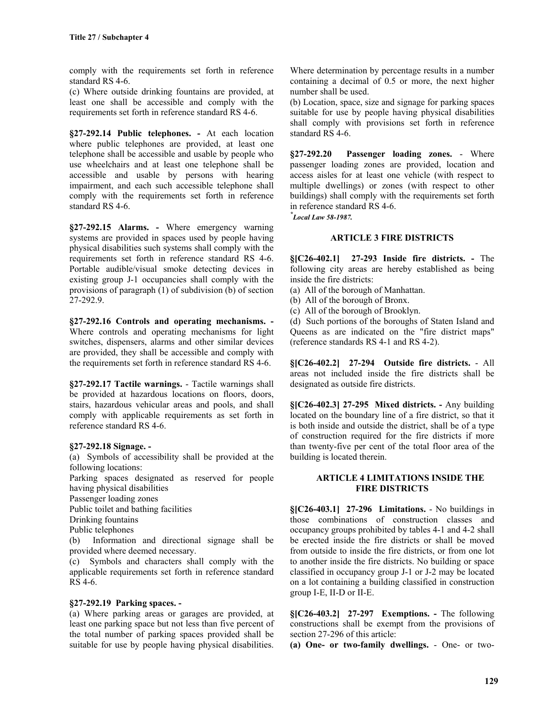comply with the requirements set forth in reference standard RS 4-6.

(c) Where outside drinking fountains are provided, at least one shall be accessible and comply with the requirements set forth in reference standard RS 4-6.

**§27-292.14 Public telephones. -** At each location where public telephones are provided, at least one telephone shall be accessible and usable by people who use wheelchairs and at least one telephone shall be accessible and usable by persons with hearing impairment, and each such accessible telephone shall comply with the requirements set forth in reference standard RS 4-6.

**§27-292.15 Alarms. -** Where emergency warning systems are provided in spaces used by people having physical disabilities such systems shall comply with the requirements set forth in reference standard RS 4-6. Portable audible/visual smoke detecting devices in existing group J-1 occupancies shall comply with the provisions of paragraph (1) of subdivision (b) of section 27-292.9.

**§27-292.16 Controls and operating mechanisms. -** Where controls and operating mechanisms for light switches, dispensers, alarms and other similar devices are provided, they shall be accessible and comply with the requirements set forth in reference standard RS 4-6.

**§27-292.17 Tactile warnings.** - Tactile warnings shall be provided at hazardous locations on floors, doors, stairs, hazardous vehicular areas and pools, and shall comply with applicable requirements as set forth in reference standard RS 4-6.

#### **§27-292.18 Signage. -**

(a) Symbols of accessibility shall be provided at the following locations:

Parking spaces designated as reserved for people having physical disabilities

Passenger loading zones

Public toilet and bathing facilities

Drinking fountains

Public telephones

(b) Information and directional signage shall be provided where deemed necessary.

(c) Symbols and characters shall comply with the applicable requirements set forth in reference standard RS 4-6.

#### **§27-292.19 Parking spaces. -**

(a) Where parking areas or garages are provided, at least one parking space but not less than five percent of the total number of parking spaces provided shall be suitable for use by people having physical disabilities.

Where determination by percentage results in a number containing a decimal of 0.5 or more, the next higher number shall be used.

(b) Location, space, size and signage for parking spaces suitable for use by people having physical disabilities shall comply with provisions set forth in reference standard RS 4-6.

**§27-292.20 Passenger loading zones.** - Where passenger loading zones are provided, location and access aisles for at least one vehicle (with respect to multiple dwellings) or zones (with respect to other buildings) shall comply with the requirements set forth in reference standard RS 4-6.

*\* Local Law 58-1987.*

#### **ARTICLE 3 FIRE DISTRICTS**

**§[C26-402.1] 27-293 Inside fire districts. -** The following city areas are hereby established as being inside the fire districts:

- (a) All of the borough of Manhattan.
- (b) All of the borough of Bronx.
- (c) All of the borough of Brooklyn.

(d) Such portions of the boroughs of Staten Island and Queens as are indicated on the "fire district maps" (reference standards RS 4-1 and RS 4-2).

**§[C26-402.2] 27-294 Outside fire districts.** - All areas not included inside the fire districts shall be designated as outside fire districts.

**§[C26-402.3] 27-295 Mixed districts. -** Any building located on the boundary line of a fire district, so that it is both inside and outside the district, shall be of a type of construction required for the fire districts if more than twenty-five per cent of the total floor area of the building is located therein.

#### **ARTICLE 4 LIMITATIONS INSIDE THE FIRE DISTRICTS**

**§[C26-403.1] 27-296 Limitations.** - No buildings in those combinations of construction classes and occupancy groups prohibited by tables 4-1 and 4-2 shall be erected inside the fire districts or shall be moved from outside to inside the fire districts, or from one lot to another inside the fire districts. No building or space classified in occupancy group J-1 or J-2 may be located on a lot containing a building classified in construction group I-E, II-D or II-E.

**§[C26-403.2] 27-297 Exemptions. -** The following constructions shall be exempt from the provisions of section 27-296 of this article:

**(a) One- or two-family dwellings.** - One- or two-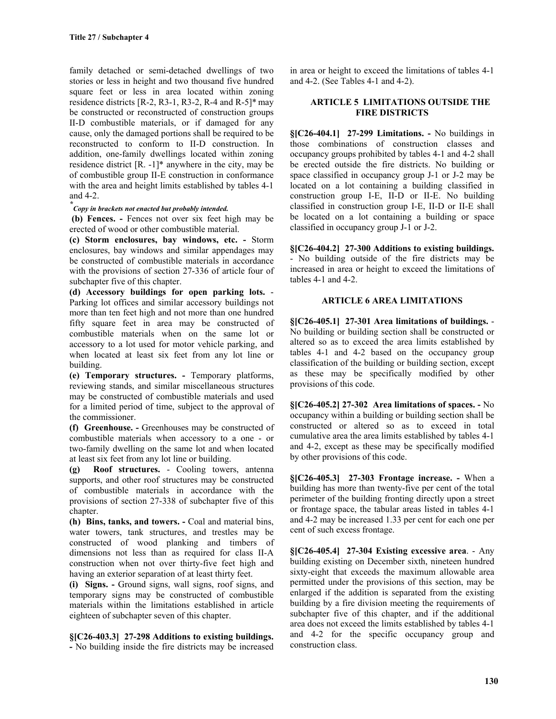family detached or semi-detached dwellings of two stories or less in height and two thousand five hundred square feet or less in area located within zoning residence districts  $[R-2, R3-1, R3-2, R-4 \text{ and } R-5]^*$  may be constructed or reconstructed of construction groups II-D combustible materials, or if damaged for any cause, only the damaged portions shall be required to be reconstructed to conform to II-D construction. In addition, one-family dwellings located within zoning residence district  $[R. -1]^*$  anywhere in the city, may be of combustible group II-E construction in conformance with the area and height limits established by tables 4-1 and 4-2.

## *\* Copy in brackets not enacted but probably intended.*

 **(b) Fences. -** Fences not over six feet high may be erected of wood or other combustible material.

**(c) Storm enclosures, bay windows, etc. -** Storm enclosures, bay windows and similar appendages may be constructed of combustible materials in accordance with the provisions of section 27-336 of article four of subchapter five of this chapter.

**(d) Accessory buildings for open parking lots.** - Parking lot offices and similar accessory buildings not more than ten feet high and not more than one hundred fifty square feet in area may be constructed of combustible materials when on the same lot or accessory to a lot used for motor vehicle parking, and when located at least six feet from any lot line or building.

**(e) Temporary structures. -** Temporary platforms, reviewing stands, and similar miscellaneous structures may be constructed of combustible materials and used for a limited period of time, subject to the approval of the commissioner.

**(f) Greenhouse. -** Greenhouses may be constructed of combustible materials when accessory to a one - or two-family dwelling on the same lot and when located at least six feet from any lot line or building.

**(g) Roof structures.** - Cooling towers, antenna supports, and other roof structures may be constructed of combustible materials in accordance with the provisions of section 27-338 of subchapter five of this chapter.

**(h) Bins, tanks, and towers. -** Coal and material bins, water towers, tank structures, and trestles may be constructed of wood planking and timbers of dimensions not less than as required for class II-A construction when not over thirty-five feet high and having an exterior separation of at least thirty feet.

**(i) Signs. -** Ground signs, wall signs, roof signs, and temporary signs may be constructed of combustible materials within the limitations established in article eighteen of subchapter seven of this chapter.

#### **§[C26-403.3] 27-298 Additions to existing buildings.**

**-** No building inside the fire districts may be increased

in area or height to exceed the limitations of tables 4-1 and 4-2. (See Tables 4-1 and 4-2).

#### **ARTICLE 5 LIMITATIONS OUTSIDE THE FIRE DISTRICTS**

**§[C26-404.1] 27-299 Limitations. -** No buildings in those combinations of construction classes and occupancy groups prohibited by tables 4-1 and 4-2 shall be erected outside the fire districts. No building or space classified in occupancy group J-1 or J-2 may be located on a lot containing a building classified in construction group I-E, II-D or II-E. No building classified in construction group I-E, II-D or II-E shall be located on a lot containing a building or space classified in occupancy group J-1 or J-2.

**§[C26-404.2] 27-300 Additions to existing buildings.** - No building outside of the fire districts may be increased in area or height to exceed the limitations of tables 4-1 and 4-2.

#### **ARTICLE 6 AREA LIMITATIONS**

**§[C26-405.1] 27-301 Area limitations of buildings.** - No building or building section shall be constructed or altered so as to exceed the area limits established by tables 4-1 and 4-2 based on the occupancy group classification of the building or building section, except as these may be specifically modified by other provisions of this code.

**§[C26-405.2] 27-302 Area limitations of spaces. -** No occupancy within a building or building section shall be constructed or altered so as to exceed in total cumulative area the area limits established by tables 4-1 and 4-2, except as these may be specifically modified by other provisions of this code.

**§[C26-405.3] 27-303 Frontage increase. -** When a building has more than twenty-five per cent of the total perimeter of the building fronting directly upon a street or frontage space, the tabular areas listed in tables 4-1 and 4-2 may be increased 1.33 per cent for each one per cent of such excess frontage.

**§[C26-405.4] 27-304 Existing excessive area**. - Any building existing on December sixth, nineteen hundred sixty-eight that exceeds the maximum allowable area permitted under the provisions of this section, may be enlarged if the addition is separated from the existing building by a fire division meeting the requirements of subchapter five of this chapter, and if the additional area does not exceed the limits established by tables 4-1 and 4-2 for the specific occupancy group and construction class.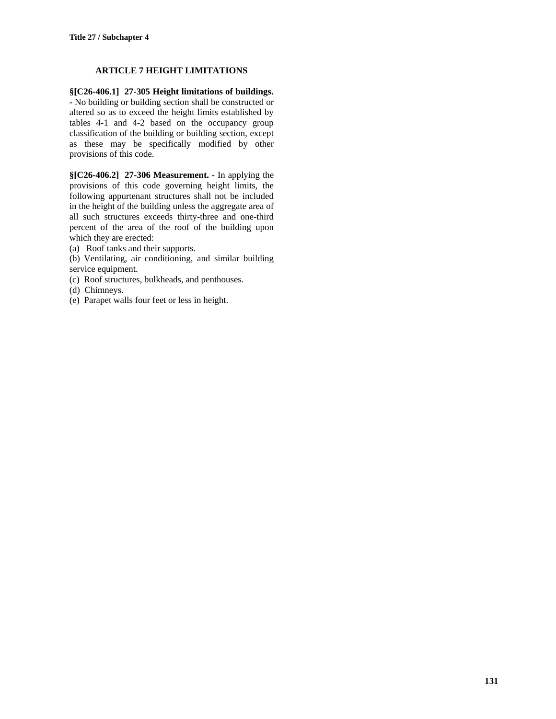### **ARTICLE 7 HEIGHT LIMITATIONS**

**§[C26-406.1] 27-305 Height limitations of buildings. -** No building or building section shall be constructed or altered so as to exceed the height limits established by tables 4-1 and 4-2 based on the occupancy group classification of the building or building section, except as these may be specifically modified by other provisions of this code.

**§[C26-406.2] 27-306 Measurement.** - In applying the provisions of this code governing height limits, the following appurtenant structures shall not be included in the height of the building unless the aggregate area of all such structures exceeds thirty-three and one-third percent of the area of the roof of the building upon which they are erected:

(a) Roof tanks and their supports.

(b) Ventilating, air conditioning, and similar building service equipment.

(c) Roof structures, bulkheads, and penthouses.

(d) Chimneys.

(e) Parapet walls four feet or less in height.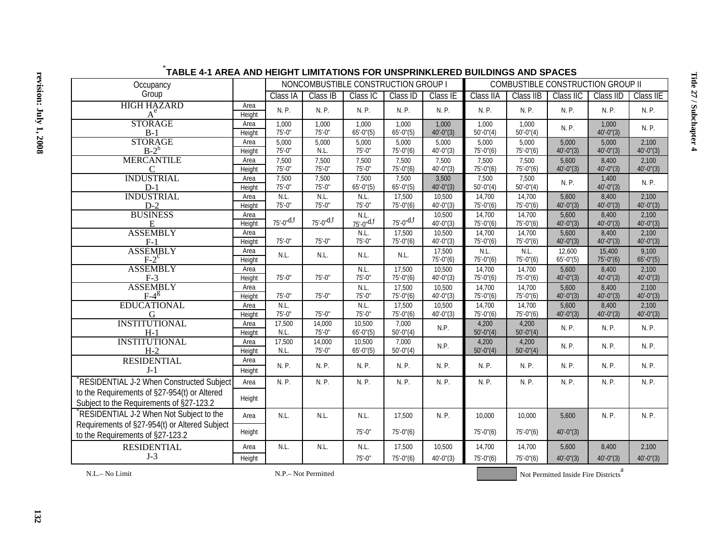| Occupancy                                     | NONCOMBUSTIBLE CONSTRUCTION GROUP I |                      |                      |                      |                             | COMBUSTIBLE CONSTRUCTION GROUP II |                          |                          |                       |                       |                       |
|-----------------------------------------------|-------------------------------------|----------------------|----------------------|----------------------|-----------------------------|-----------------------------------|--------------------------|--------------------------|-----------------------|-----------------------|-----------------------|
| Group                                         |                                     | Class IA             | Class IB             | Class <sub>IC</sub>  | Class ID                    | Class IE                          | Class IIA                | Class IIB                | Class IIC             | Class IID             | Class IIE             |
| <b>HIGH HAZARD</b>                            | Area                                | N. P.                | N. P.                | N. P.                | N. P.                       | N. P.                             | N. P.                    | N. P.                    | N. P.                 | N. P.                 | N. P.                 |
| $A^e$                                         | Height                              |                      |                      |                      |                             |                                   |                          |                          |                       |                       |                       |
| <b>STORAGE</b>                                | Area                                | 1.000                | 1,000                | 1.000                | 1,000                       | 1,000                             | 1.000                    | 1,000                    | N. P.                 | 1,000                 | N. P.                 |
| $B-1$                                         | Height                              | $75' - 0''$          | $75' - 0''$          | $65' - 0''(5)$       | $65' - 0''(5)$              | $40'-0''(3)$                      | $50'-0''(4)$             | $50'-0''(4)$             |                       | $40'-0''(3)$          |                       |
| <b>STORAGE</b>                                | Area                                | 5,000                | 5,000                | 5,000                | 5,000                       | 5,000                             | 5,000                    | 5,000                    | 5,000                 | 5,000                 | 2,100                 |
| $B-2^b$                                       | Height                              | $75' - 0''$          | N.L.                 | $75' - 0''$          | $75' - 0''(6)$              | $40'-0''(3)$                      | $75'-0''(6)$             | $75' - 0''(6)$           | $40'-0''(3)$          | $40'-0''(3)$          | $40'-0''(3)$          |
| <b>MERCANTILE</b>                             | Area                                | 7,500<br>$75' - 0''$ | 7,500<br>$75' - 0''$ | 7,500<br>$75' - 0''$ | 7,500<br>$75' - 0''(6)$     | 7,500<br>$40'-0''(3)$             | 7,500<br>$75'-0''(6)$    | 7,500<br>$75' - 0''(6)$  | 5,600<br>$40'-0''(3)$ | 8,400<br>$40'-0''(3)$ | 2,100<br>$40'-0''(3)$ |
| C<br><b>INDUSTRIAL</b>                        | Height<br>Area                      | 7,500                | 7,500                | 7,500                | 7,500                       | 3,500                             | 7,500                    | 7,500                    |                       | 1,400                 |                       |
| $D-1$                                         | Height                              | $75' - 0''$          | $75' - 0''$          | $65' - 0''(5)$       | $65' - 0''(5)$              | $40'-0''(3)$                      | $50'-0''(4)$             | $50'-0''(4)$             | N. P.                 | $40'-0''(3)$          | N. P.                 |
| <b>INDUSTRIAL</b>                             | Area                                | N.L.                 | N.L.                 | N.L.                 | 17,500                      | 10,500                            | 14,700                   | 14,700                   | 5,600                 | 8,400                 | 2,100                 |
| $D-2$                                         | Height                              | $75' - 0''$          | $75' - 0''$          | $75' - 0''$          | $75' - 0''(6)$              | $40'-0''(3)$                      | $75'-0''(6)$             | $75' - 0''(6)$           | $40'-0''(3)$          | $40'-0''(3)$          | $40'-0''(3)$          |
| <b>BUSINESS</b>                               | Area                                |                      |                      |                      |                             | 10,500                            | 14,700                   | 14,700                   | 5,600                 | 8,400                 | 2,100                 |
| E                                             | Height                              | $75 - 0$ "d,f        | $75^{\circ}$ -0"d,f  | $N.L.75'-0''d.f$     | $75 - 0$ <sup>d,f</sup>     | $40'-0''(3)$                      | $75' - 0''(6)$           | $75' - 0''(6)$           | $40'-0''(3)$          | $40'-0''(3)$          | $40'-0''(3)$          |
| <b>ASSEMBLY</b>                               | Area                                |                      |                      | N.L.                 | 17,500                      | 10,500                            | 14,700                   | 14,700                   | 5,600                 | 8,400                 | 2,100                 |
| $F-1$                                         | Height                              | $75' - 0''$          | $75' - 0''$          | $75' - 0''$          | $75' - 0''(6)$              | $40'-0''(3)$                      | $75'-0''(6)$             | $75' - 0''(6)$           | $40'-0''(3)$          | $40'-0''(3)$          | $40'-0''(3)$          |
| <b>ASSEMBLY</b>                               | Area                                | N.L.                 | N.L.                 | N.L.                 | N.L.                        | 17,500                            | N.L.                     | N.L.                     | 12.600                | 15.400                | 9,100                 |
| $F-2$ <sup>c</sup>                            | Height                              |                      |                      |                      |                             | $75' - 0''(6)$                    | $75'-0''(6)$             | $75' - 0''(6)$           | $65' - 0''(5)$        | $75'-0''(6)$          | $65' - 0''(5)$        |
| <b>ASSEMBLY</b>                               | Area                                |                      |                      | N.L.                 | 17,500                      | 10,500                            | 14.700                   | 14,700                   | 5.600                 | 8,400                 | 2.100                 |
| $F-3$                                         | Height                              | $75' - 0''$          | $75' - 0''$          | $75' - 0"$           | $75' - 0''(6)$              | $40^{\circ} - 0^{\circ}(3)$       | $75' - 0''(6)$           | $75' - 0''(6)$           | $40'-0''(3)$          | $40'-0''(3)$          | $40'-0''(3)$          |
| <b>ASSEMBLY</b>                               | Area                                | $75' - 0''$          | $75' - 0''$          | N.L.<br>$75' - 0$ "  | 17,500<br>$75' - 0''(6)$    | 10,500<br>$40'-0''(3)$            | 14,700<br>$75' - 0''(6)$ | 14,700                   | 5,600                 | 8,400<br>$40'-0''(3)$ | 2,100<br>$40'-0''(3)$ |
| $F-4^g$<br><b>EDUCATIONAL</b>                 | Height<br>Area                      | N.L.                 |                      | N.L.                 | 17,500                      | 10,500                            | 14,700                   | $75' - 0''(6)$<br>14,700 | $40'-0''(3)$<br>5,600 | 8,400                 | 2,100                 |
| G                                             | Height                              | $75' - 0''$          | $75' - 0''$          | $75' - 0''$          | $75' - 0''(6)$              | $40'-0''(3)$                      | $75' - 0''(6)$           | $75' - 0''(6)$           | $40'-0''(3)$          | $40'-0''(3)$          | $40'-0''(3)$          |
| <b>INSTITUTIONAL</b>                          | Area                                | 17,500               | 14,000               | 10,500               | 7,000                       |                                   | 4,200                    | 4,200                    |                       |                       |                       |
| $H-1$                                         | Height                              | N.L.                 | $75' - 0''$          | $65' - 0''(5)$       | $50'-0''(4)$                | N.P.                              | $50'-0''(4)$             | $50'-0''(4)$             | N. P.                 | N. P.                 | N. P.                 |
| <b>INSTITUTIONAL</b>                          | Area                                | 17,500               | 14,000               | 10,500               | 7,000                       |                                   | 4,200                    | 4,200                    |                       |                       |                       |
| $H-2$                                         | Height                              | N.L.                 | $75' - 0''$          | $65' - 0''(5)$       | $50^{\circ} - 0^{\circ}(4)$ | N.P.                              | $50'-0''(4)$             | $50' - 0''(4)$           | N. P.                 | N. P.                 | N. P.                 |
| <b>RESIDENTIAL</b>                            | Area                                |                      |                      |                      |                             |                                   |                          |                          |                       |                       |                       |
| $J-1$                                         | Height                              | N. P.                | N. P.                | N. P.                | N. P.                       | N. P.                             | N. P.                    | N. P.                    | N. P.                 | N. P.                 | N. P.                 |
| RESIDENTIAL J-2 When Constructed Subject      | Area                                | N. P.                | N. P.                | N. P.                | N. P.                       | N. P.                             | N. P.                    | N. P.                    | N.P.                  | N. P.                 | N. P.                 |
| to the Requirements of §27-954(t) or Altered  |                                     |                      |                      |                      |                             |                                   |                          |                          |                       |                       |                       |
| Subject to the Requirements of §27-123.2      | Height                              |                      |                      |                      |                             |                                   |                          |                          |                       |                       |                       |
| RESIDENTIAL J-2 When Not Subject to the       |                                     |                      |                      |                      |                             |                                   |                          |                          |                       |                       |                       |
|                                               | Area                                | N.L.                 | N.L.                 | N.L.                 | 17,500                      | N. P.                             | 10,000                   | 10,000                   | 5,600                 | N. P.                 | N. P.                 |
| Requirements of §27-954(t) or Altered Subject | Height                              |                      |                      | $75' - 0''$          | $75' - 0''(6)$              |                                   | $75'-0''(6)$             | $75'-0''(6)$             | $40'-0''(3)$          |                       |                       |
| to the Requirements of §27-123.2              |                                     |                      |                      |                      |                             |                                   |                          |                          |                       |                       |                       |
| <b>RESIDENTIAL</b>                            | Area                                | N.L.                 | N.L.                 | N.L.                 | 17.500                      | 10,500                            | 14.700                   | 14,700                   | 5,600                 | 8,400                 | 2,100                 |
| $J-3$                                         | Height                              |                      |                      | $75' - 0''$          | $75' - 0''(6)$              | $40'-0''(3)$                      | $75' - 0''(6)$           | $75' - 0''(6)$           | $40'-0''(3)$          | $40'-0''(3)$          | $40'-0''(3)$          |
|                                               |                                     |                      |                      |                      |                             |                                   |                          |                          |                       |                       |                       |

## \* **TABLE 4-1 AREA AND HEIGHT LIMITATIONS FOR UNSPRINKLERED BUILDINGS AND SPACES**

N.L.– No Limit

Not Permitted Inside Fire Districts<sup>a</sup>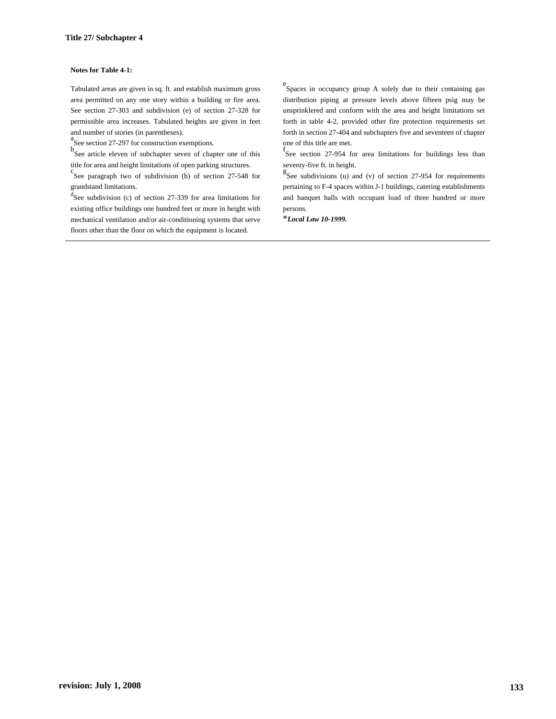#### **Notes for Table 4-1:**

Tabulated areas are given in sq. ft. and establish maximum gross area permitted on any one story within a building or fire area. See section 27-303 and subdivision (e) of section 27-328 for permissible area increases. Tabulated heights are given in feet and number of stories (in parentheses).

a<br>See section 27-297 for construction exemptions.

b See article eleven of subchapter seven of chapter one of this title for area and height limitations of open parking structures.

See paragraph two of subdivision (b) of section  $27-548$  for grandstand limitations.

d See subdivision (c) of section 27-339 for area limitations for existing office buildings one hundred feet or more in height with mechanical ventilation and/or air-conditioning systems that serve floors other than the floor on which the equipment is located.

e Spaces in occupancy group A solely due to their containing gas distribution piping at pressure levels above fifteen psig may be unsprinklered and conform with the area and height limitations set forth in table 4-2, provided other fire protection requirements set forth in section 27-404 and subchapters five and seventeen of chapter one of this title are met.

f See section 27-954 for area limitations for buildings less than seventy-five ft. in height.

 $g^{\text{g}}$ See subdivisions (u) and (v) of section 27-954 for requirements pertaining to F-4 spaces within J-1 buildings, catering establishments and banquet halls with occupant load of three hundred or more persons.

\**Local Law 10-1999.*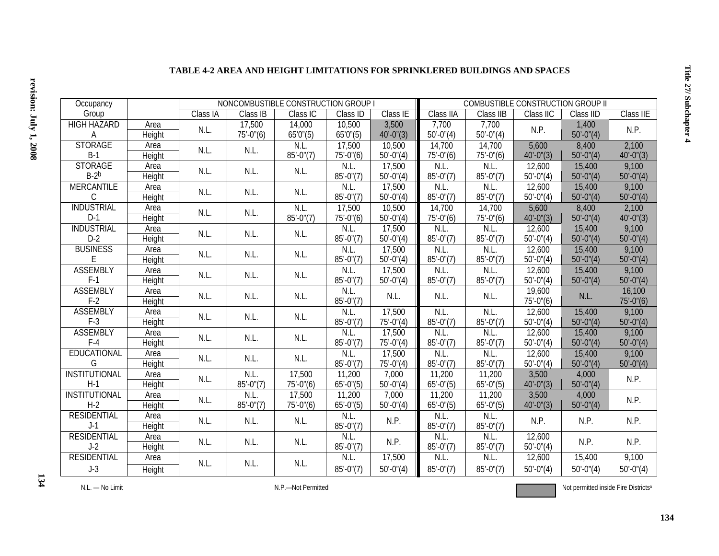| Occupancy            |               | NONCOMBUSTIBLE CONSTRUCTION GROUP I |                |                        |                        |                              | COMBUSTIBLE CONSTRUCTION GROUP II |                |                     |                |                |  |
|----------------------|---------------|-------------------------------------|----------------|------------------------|------------------------|------------------------------|-----------------------------------|----------------|---------------------|----------------|----------------|--|
| Group                |               | Class IA                            | Class IB       | Class IC               | Class ID               | $\overline{\text{Class}}$ IE | Class IIA                         | Class IIB      | Class IIC           | Class IID      | Class IIE      |  |
| <b>HIGH HAZARD</b>   | Area          | N.L.                                | 17,500         | 14,000                 | 10,500                 | 3,500                        | 7,700                             | 7,700          | N.P.                | 1,400          | N.P.           |  |
| A                    | <b>Height</b> |                                     | $75' - 0''(6)$ | 65'0''(5)              | 65'0''(5)              | $40' - 0''(3)$               | $50' - 0''(4)$                    | $50' - 0''(4)$ |                     | $50' - 0''(4)$ |                |  |
| <b>STORAGE</b>       | Area          | N.L.                                | N.L.           | N.L.                   | 17,500                 | 10,500                       | 14,700                            | 14,700         | 5,600               | 8,400          | 2,100          |  |
| $B-1$                | <b>Height</b> |                                     |                | $85' - 0''(7)$         | $75'-0''(6)$           | $50'-0''(4)$                 | $75' - 0''(6)$                    | $75' - 0''(6)$ | $40'-0''(3)$        | $50' - 0''(4)$ | $40' - 0''(3)$ |  |
| <b>STORAGE</b>       | Area          | N.L.                                | N.L.           | N.L.                   | N.L.                   | 17,500                       | N.L.                              | N.L            | 12,600              | 15,400         | 9,100          |  |
| $B-2b$               | Height        |                                     |                |                        | $85' - 0''(7)$         | $50' - 0''(4)$               | $85' - 0''(7)$                    | $85' - 0''(7)$ | $50' - 0''(4)$      | $50' - 0''(4)$ | $50' - 0''(4)$ |  |
| <b>MERCANTILE</b>    | Area          | N.L.                                | N.L.           | N.L.                   | N.L.                   | 17,500                       | N.L.                              | N.L.           | 12,600              | 15,400         | 9,100          |  |
| С                    | Height        |                                     |                |                        | $85' - 0''(7)$         | $50' - 0''(4)$               | $85' - 0''(7)$                    | $85' - 0''(7)$ | $50' - 0''(4)$      | $50' - 0''(4)$ | $50' - 0''(4)$ |  |
| <b>INDUSTRIAL</b>    | Area          | N.L.                                | N.L.           | N.L.<br>$85' - 0''(7)$ | 17,500                 | 10,500                       | 14,700                            | 14,700         | 5,600               | 8,400          | 2,100          |  |
| $D-1$                | <b>Height</b> |                                     |                |                        | $75' - 0''(6)$         | $50' - 0''(4)$               | $75' - 0''(6)$                    | $75' - 0''(6)$ | $40'-0''(3)$        | $50' - 0''(4)$ | $40' - 0''(3)$ |  |
| <b>INDUSTRIAL</b>    | Area          | N.L.                                | N.L.           | N.L.                   | N.L.                   | 17,500                       | N.L.                              | N.L.           | 12,600              | 15,400         | 9,100          |  |
| $D-2$                | <b>Height</b> |                                     |                |                        | $85' - 0''(7)$         | $50' - 0''(4)$               | $85' - 0''(7)$                    | $85' - 0''(7)$ | $50' - 0''(4)$      | $50' - 0''(4)$ | $50' - 0''(4)$ |  |
| <b>BUSINESS</b>      | Area          | N.L.                                | N.L.           | N.L.                   | N.L.                   | 17,500                       | N.L.                              | N.L.           | 12,600              | 15,400         | 9,100          |  |
| E                    | Height        |                                     |                |                        | $85' - 0''(7)$         | $50' - 0''(4)$               | $85' - 0''(7)$                    | $85' - 0''(7)$ | $50' - 0''(4)$      | $50' - 0''(4)$ | $50' - 0''(4)$ |  |
| <b>ASSEMBLY</b>      | Area          | N.L.                                | N.L.           | N.L.                   | N.L.                   | 17,500                       | N.L.                              | N.L.           | 12,600              | 15,400         | 9,100          |  |
| $F-1$                | <b>Height</b> |                                     |                |                        | $85' - 0''(7)$         | $50' - 0''(4)$               | $85' - 0''(7)$                    | $85' - 0''(7)$ | $50' - 0''(4)$      | $50' - 0''(4)$ | $50' - 0''(4)$ |  |
| <b>ASSEMBLY</b>      | Area          | N.L.                                | N.L.           | N.L.                   | N.L.                   | N.L.                         | N.L.                              | N.L.           | 19,600              | N.L.           | 16,100         |  |
| $F-2$                | <b>Height</b> |                                     |                |                        | $85' - 0''(7)$         |                              |                                   |                | $75'-0''(6)$        |                | $75'-0''(6)$   |  |
| <b>ASSEMBLY</b>      | Area          | N.L.                                | N.L.           | N.L.                   | N.L.                   | 17,500                       | N.L.                              | N.L.           | 12,600              | 15,400         | 9,100          |  |
| $F-3$                | <b>Height</b> |                                     |                |                        | $85' - 0''(7)$         | $75' - 0''(4)$               | $85' - 0''(7)$                    | $85' - 0''(7)$ | $50' - 0''(4)$      | $50' - 0''(4)$ | $50' - 0''(4)$ |  |
| <b>ASSEMBLY</b>      | Area          | N.L.                                | N.L.           | N.L.                   | N.L.                   | 17,500                       | N.L.                              | N.L.           | 12,600              | 15,400         | 9,100          |  |
| $F-4$                | <b>Height</b> |                                     |                |                        | $85' - 0''(7)$         | $75' - 0''(4)$               | $85' - 0''(7)$                    | $85' - 0''(7)$ | $50' - 0''(4)$      | $50' - 0''(4)$ | $50' - 0''(4)$ |  |
| EDUCATIONAL          | Area          | N.L.                                | N.L.           | N.L.                   | N.L.                   | 17,500                       | N.L.                              | N.L.           | $\overline{12,600}$ | 15,400         | 9,100          |  |
| G                    | Height        |                                     |                |                        | $85' - 0''(7)$         | $75'-0''(4)$                 | $85' - 0''(7)$                    | $85' - 0''(7)$ | $50' - 0''(4)$      | $50' - 0''(4)$ | $50' - 0''(4)$ |  |
| <b>INSTITUTIONAL</b> | Area          | N.L.                                | N.L            | 17,500                 | 11,200                 | 7,000                        | 11,200                            | 11,200         | 3,500               | 4,000          | N.P.           |  |
| $H-1$                | <b>Height</b> |                                     | $85' - 0''(7)$ | $75' - 0''(6)$         | $65' - 0''(5)$         | $50' - 0''(4)$               | $65' - 0''(5)$                    | $65' - 0''(5)$ | $40'-0''(3)$        | $50' - 0''(4)$ |                |  |
| <b>INSTITUTIONAL</b> | Area          | N.L.                                | N.L            | 17,500                 | 11,200                 | 7,000                        | 11,200                            | 11,200         | 3,500               | 4,000          | N.P.           |  |
| $H-2$                | Height        |                                     | $85' - 0''(7)$ | $75' - 0''(6)$         | $65' - 0''(5)$         | $50' - 0''(4)$               | $65' - 0''(5)$                    | $65' - 0''(5)$ | $40'-0''(3)$        | $50'-0''(4)$   |                |  |
| <b>RESIDENTIAL</b>   | Area          | N.L.                                | N.L.           | N.L.                   | N.L.                   | N.P.                         | N.L                               | N.L.           | N.P.                | N.P.           | N.P.           |  |
| $J-1$                | Height        |                                     |                |                        | $85' - 0''(7)$         |                              | $85' - 0''(7)$                    | $85' - 0''(7)$ |                     |                |                |  |
| <b>RESIDENTIAL</b>   | Area          | N.L.                                | N.L.           | N.L.                   | N.L.<br>$85' - 0''(7)$ | N.P.                         | N.L.                              | N.L.           | 12,600              | N.P.           | N.P.           |  |
| $J-2$                | <b>Height</b> |                                     |                |                        |                        |                              | $85' - 0''(7)$                    | $85' - 0''(7)$ | $50' - 0''(4)$      |                |                |  |
| <b>RESIDENTIAL</b>   | Area          | N.L.                                | N.L.           | N.L.                   | N.L.                   | 17,500                       | N.L.                              | N.L.           | 12,600              | 15,400         | 9,100          |  |
| $J-3$                | Height        |                                     |                |                        | $85' - 0''(7)$         | $50' - 0''(4)$               | $85' - 0''(7)$                    | $85' - 0''(7)$ | $50' - 0''(4)$      | $50' - 0''(4)$ | $50'-0''(4)$   |  |

#### **TABLE 4-2 AREA AND HEIGHT LIMITATIONS FOR SPRINKLERED BUILDINGS AND SPACES**

Not permitted inside Fire Districtsa

**Title 27/ Subchapter 4**

Title 27/ Subchapter 4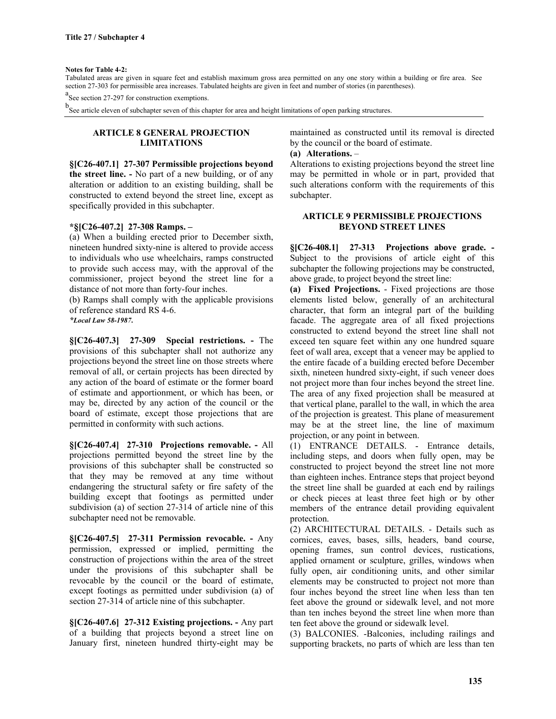#### **Notes for Table 4-2:**

Tabulated areas are given in square feet and establish maximum gross area permitted on any one story within a building or fire area. See section 27-303 for permissible area increases. Tabulated heights are given in feet and number of stories (in parentheses).

<sup>a</sup>See section 27-297 for construction exemptions.

b See article eleven of subchapter seven of this chapter for area and height limitations of open parking structures.

### **ARTICLE 8 GENERAL PROJECTION LIMITATIONS**

**§[C26-407.1] 27-307 Permissible projections beyond the street line. -** No part of a new building, or of any alteration or addition to an existing building, shall be constructed to extend beyond the street line, except as specifically provided in this subchapter.

#### **\*§[C26-407.2] 27-308 Ramps. –**

(a) When a building erected prior to December sixth, nineteen hundred sixty-nine is altered to provide access to individuals who use wheelchairs, ramps constructed to provide such access may, with the approval of the commissioner, project beyond the street line for a distance of not more than forty-four inches.

(b) Ramps shall comply with the applicable provisions of reference standard RS 4-6.

*\*Local Law 58-1987***.**

**§[C26-407.3] 27-309 Special restrictions. -** The provisions of this subchapter shall not authorize any projections beyond the street line on those streets where removal of all, or certain projects has been directed by any action of the board of estimate or the former board of estimate and apportionment, or which has been, or may be, directed by any action of the council or the board of estimate, except those projections that are permitted in conformity with such actions.

**§[C26-407.4] 27-310 Projections removable. -** All projections permitted beyond the street line by the provisions of this subchapter shall be constructed so that they may be removed at any time without endangering the structural safety or fire safety of the building except that footings as permitted under subdivision (a) of section 27-314 of article nine of this subchapter need not be removable.

**§[C26-407.5] 27-311 Permission revocable. -** Any permission, expressed or implied, permitting the construction of projections within the area of the street under the provisions of this subchapter shall be revocable by the council or the board of estimate, except footings as permitted under subdivision (a) of section 27-314 of article nine of this subchapter.

**§[C26-407.6] 27-312 Existing projections. -** Any part of a building that projects beyond a street line on January first, nineteen hundred thirty-eight may be maintained as constructed until its removal is directed by the council or the board of estimate.

#### **(a) Alterations.** –

Alterations to existing projections beyond the street line may be permitted in whole or in part, provided that such alterations conform with the requirements of this subchapter.

#### **ARTICLE 9 PERMISSIBLE PROJECTIONS BEYOND STREET LINES**

**§[C26-408.1] 27-313 Projections above grade. -** Subject to the provisions of article eight of this subchapter the following projections may be constructed, above grade, to project beyond the street line:

**(a) Fixed Projections.** - Fixed projections are those elements listed below, generally of an architectural character, that form an integral part of the building facade. The aggregate area of all fixed projections constructed to extend beyond the street line shall not exceed ten square feet within any one hundred square feet of wall area, except that a veneer may be applied to the entire facade of a building erected before December sixth, nineteen hundred sixty-eight, if such veneer does not project more than four inches beyond the street line. The area of any fixed projection shall be measured at that vertical plane, parallel to the wall, in which the area of the projection is greatest. This plane of measurement may be at the street line, the line of maximum projection, or any point in between.

(1) ENTRANCE DETAILS. - Entrance details, including steps, and doors when fully open, may be constructed to project beyond the street line not more than eighteen inches. Entrance steps that project beyond the street line shall be guarded at each end by railings or check pieces at least three feet high or by other members of the entrance detail providing equivalent protection.

(2) ARCHITECTURAL DETAILS. - Details such as cornices, eaves, bases, sills, headers, band course, opening frames, sun control devices, rustications, applied ornament or sculpture, grilles, windows when fully open, air conditioning units, and other similar elements may be constructed to project not more than four inches beyond the street line when less than ten feet above the ground or sidewalk level, and not more than ten inches beyond the street line when more than ten feet above the ground or sidewalk level.

(3) BALCONIES. -Balconies, including railings and supporting brackets, no parts of which are less than ten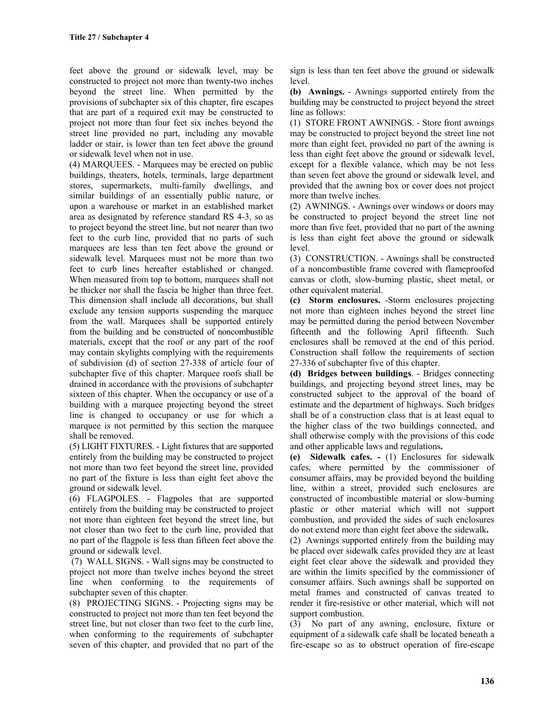feet above the ground or sidewalk level, may be constructed to project not more than twenty-two inches beyond the street line. When permitted by the provisions of subchapter six of this chapter, fire escapes that are part of a required exit may be constructed to project not more than four feet six inches beyond the street line provided no part, including any movable ladder or stair, is lower than ten feet above the ground or sidewalk level when not in use.

(4) MARQUEES. - Marquees may be erected on public buildings, theaters, hotels, terminals, large department stores, supermarkets, multi-family dwellings, and similar buildings of an essentially public nature, or upon a warehouse or market in an established market area as designated by reference standard RS 4-3, so as to project beyond the street line, but not nearer than two feet to the curb line, provided that no parts of such marquees are less than ten feet above the ground or sidewalk level. Marquees must not be more than two feet to curb lines hereafter established or changed. When measured from top to bottom, marquees shall not be thicker nor shall the fascia be higher than three feet. This dimension shall include all decorations, but shall exclude any tension supports suspending the marquee from the wall. Marquees shall be supported entirely from the building and be constructed of noncombustible materials, except that the roof or any part of the roof may contain skylights complying with the requirements of subdivision (d) of section 27-338 of article four of subchapter five of this chapter. Marquee roofs shall be drained in accordance with the provisions of subchapter sixteen of this chapter. When the occupancy or use of a building with a marquee projecting beyond the street line is changed to occupancy or use for which a marquee is not permitted by this section the marquee shall be removed.

(5) LIGHT FIXTURES. - Light fixtures that are supported entirely from the building may be constructed to project not more than two feet beyond the street line, provided no part of the fixture is less than eight feet above the ground or sidewalk level.

(6) FLAGPOLES. - Flagpoles that are supported entirely from the building may be constructed to project not more than eighteen feet beyond the street line, but not closer than two feet to the curb line, provided that no part of the flagpole is less than fifteen feet above the ground or sidewalk level.

(7) WALL SIGNS. - Wall signs may be constructed to project not more than twelve inches beyond the street line when conforming to the requirements of subchapter seven of this chapter.

(8) PROJECTING SIGNS. - Projecting signs may be constructed to project not more than ten feet beyond the street line, but not closer than two feet to the curb line, when conforming to the requirements of subchapter seven of this chapter, and provided that no part of the sign is less than ten feet above the ground or sidewalk level.

**(b) Awnings.** - Awnings supported entirely from the building may be constructed to project beyond the street line as follows:

(1) STORE FRONT AWNINGS. - Store front awnings may be constructed to project beyond the street line not more than eight feet, provided no part of the awning is less than eight feet above the ground or sidewalk level, except for a flexible valance, which may be not less than seven feet above the ground or sidewalk level, and provided that the awning box or cover does not project more than twelve inches.

(2) AWNINGS. - Awnings over windows or doors may be constructed to project beyond the street line not more than five feet, provided that no part of the awning is less than eight feet above the ground or sidewalk level.

(3) CONSTRUCTION. - Awnings shall be constructed of a noncombustible frame covered with flameproofed canvas or cloth, slow-burning plastic, sheet metal, or other equivalent material.

**(c) Storm enclosures.** -Storm enclosures projecting not more than eighteen inches beyond the street line may be permitted during the period between November fifteenth and the following April fifteenth. Such enclosures shall be removed at the end of this period. Construction shall follow the requirements of section 27-336 of subchapter five of this chapter.

**(d) Bridges between buildings**. - Bridges connecting buildings, and projecting beyond street lines, may be constructed subject to the approval of the board of estimate and the department of highways. Such bridges shall be of a construction class that is at least equal to the higher class of the two buildings connected, and shall otherwise comply with the provisions of this code and other applicable laws and regulations**.**

**(e) Sidewalk cafes. -** (1) Enclosures for sidewalk cafes, where permitted by the commissioner of consumer affairs, may be provided beyond the building line, within a street, provided such enclosures are constructed of incombustible material or slow-burning plastic or other material which will not support combustion, and provided the sides of such enclosures do not extend more than eight feet above the sidewalk**.**

(2) Awnings supported entirely from the building may be placed over sidewalk cafes provided they are at least eight feet clear above the sidewalk and provided they are within the limits specified by the commissioner of consumer affairs. Such awnings shall be supported on metal frames and constructed of canvas treated to render it fire-resistive or other material, which will not support combustion.

(3) No part of any awning, enclosure, fixture or equipment of a sidewalk cafe shall be located beneath a fire-escape so as to obstruct operation of fire-escape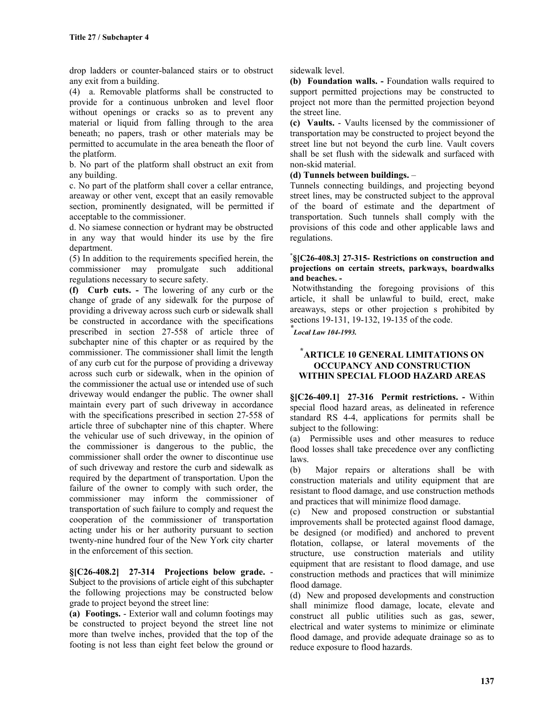drop ladders or counter-balanced stairs or to obstruct any exit from a building.

(4) a. Removable platforms shall be constructed to provide for a continuous unbroken and level floor without openings or cracks so as to prevent any material or liquid from falling through to the area beneath; no papers, trash or other materials may be permitted to accumulate in the area beneath the floor of the platform.

b. No part of the platform shall obstruct an exit from any building.

c. No part of the platform shall cover a cellar entrance, areaway or other vent, except that an easily removable section, prominently designated, will be permitted if acceptable to the commissioner.

d. No siamese connection or hydrant may be obstructed in any way that would hinder its use by the fire department.

(5) In addition to the requirements specified herein, the commissioner may promulgate such additional regulations necessary to secure safety.

**(f) Curb cuts. -** The lowering of any curb or the change of grade of any sidewalk for the purpose of providing a driveway across such curb or sidewalk shall be constructed in accordance with the specifications prescribed in section 27-558 of article three of subchapter nine of this chapter or as required by the commissioner. The commissioner shall limit the length of any curb cut for the purpose of providing a driveway across such curb or sidewalk, when in the opinion of the commissioner the actual use or intended use of such driveway would endanger the public. The owner shall maintain every part of such driveway in accordance with the specifications prescribed in section 27-558 of article three of subchapter nine of this chapter. Where the vehicular use of such driveway, in the opinion of the commissioner is dangerous to the public, the commissioner shall order the owner to discontinue use of such driveway and restore the curb and sidewalk as required by the department of transportation. Upon the failure of the owner to comply with such order, the commissioner may inform the commissioner of transportation of such failure to comply and request the cooperation of the commissioner of transportation acting under his or her authority pursuant to section twenty-nine hundred four of the New York city charter in the enforcement of this section.

**§[C26-408.2] 27-314 Projections below grade.** - Subject to the provisions of article eight of this subchapter the following projections may be constructed below grade to project beyond the street line:

**(a) Footings.** - Exterior wall and column footings may be constructed to project beyond the street line not more than twelve inches, provided that the top of the footing is not less than eight feet below the ground or sidewalk level.

**(b) Foundation walls. -** Foundation walls required to support permitted projections may be constructed to project not more than the permitted projection beyond the street line.

**(c) Vaults.** - Vaults licensed by the commissioner of transportation may be constructed to project beyond the street line but not beyond the curb line. Vault covers shall be set flush with the sidewalk and surfaced with non-skid material.

### **(d) Tunnels between buildings.** –

Tunnels connecting buildings, and projecting beyond street lines, may be constructed subject to the approval of the board of estimate and the department of transportation. Such tunnels shall comply with the provisions of this code and other applicable laws and regulations.

#### \* **§[C26-408.3] 27-315- Restrictions on construction and projections on certain streets, parkways, boardwalks and beaches. -**

 Notwithstanding the foregoing provisions of this article, it shall be unlawful to build, erect, make areaways, steps or other projection s prohibited by sections 19-131, 19-132, 19-135 of the code.

*\* Local Law 104-1993.*

## **\* ARTICLE 10 GENERAL LIMITATIONS ON OCCUPANCY AND CONSTRUCTION WITHIN SPECIAL FLOOD HAZARD AREAS**

**§[C26-409.1] 27-316 Permit restrictions. -** Within special flood hazard areas, as delineated in reference standard RS 4-4, applications for permits shall be subject to the following:

(a) Permissible uses and other measures to reduce flood losses shall take precedence over any conflicting laws.

(b) Major repairs or alterations shall be with construction materials and utility equipment that are resistant to flood damage, and use construction methods and practices that will minimize flood damage.

(c) New and proposed construction or substantial improvements shall be protected against flood damage, be designed (or modified) and anchored to prevent flotation, collapse, or lateral movements of the structure, use construction materials and utility equipment that are resistant to flood damage, and use construction methods and practices that will minimize flood damage.

(d) New and proposed developments and construction shall minimize flood damage, locate, elevate and construct all public utilities such as gas, sewer, electrical and water systems to minimize or eliminate flood damage, and provide adequate drainage so as to reduce exposure to flood hazards.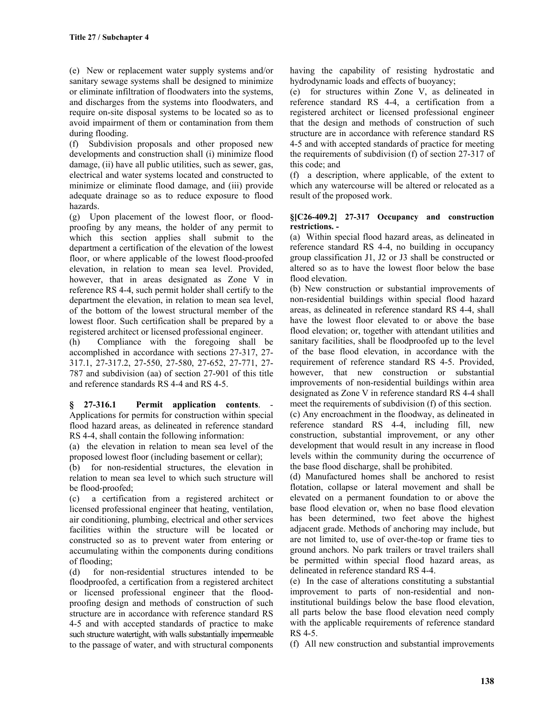(e) New or replacement water supply systems and/or sanitary sewage systems shall be designed to minimize or eliminate infiltration of floodwaters into the systems, and discharges from the systems into floodwaters, and require on-site disposal systems to be located so as to avoid impairment of them or contamination from them during flooding.

(f) Subdivision proposals and other proposed new developments and construction shall (i) minimize flood damage, (ii) have all public utilities, such as sewer, gas, electrical and water systems located and constructed to minimize or eliminate flood damage, and (iii) provide adequate drainage so as to reduce exposure to flood hazards.

(g) Upon placement of the lowest floor, or floodproofing by any means, the holder of any permit to which this section applies shall submit to the department a certification of the elevation of the lowest floor, or where applicable of the lowest flood-proofed elevation, in relation to mean sea level. Provided, however, that in areas designated as Zone V in reference RS 4-4, such permit holder shall certify to the department the elevation, in relation to mean sea level, of the bottom of the lowest structural member of the lowest floor. Such certification shall be prepared by a registered architect or licensed professional engineer.

(h) Compliance with the foregoing shall be accomplished in accordance with sections 27-317, 27- 317.1, 27-317.2, 27-550, 27-580, 27-652, 27-771, 27- 787 and subdivision (aa) of section 27-901 of this title and reference standards RS 4-4 and RS 4-5.

**§ 27-316.1 Permit application contents**. - Applications for permits for construction within special flood hazard areas, as delineated in reference standard RS 4-4, shall contain the following information:

(a) the elevation in relation to mean sea level of the proposed lowest floor (including basement or cellar);

(b) for non-residential structures, the elevation in relation to mean sea level to which such structure will be flood-proofed;

(c) a certification from a registered architect or licensed professional engineer that heating, ventilation, air conditioning, plumbing, electrical and other services facilities within the structure will be located or constructed so as to prevent water from entering or accumulating within the components during conditions of flooding;

(d) for non-residential structures intended to be floodproofed, a certification from a registered architect or licensed professional engineer that the floodproofing design and methods of construction of such structure are in accordance with reference standard RS 4-5 and with accepted standards of practice to make such structure watertight, with walls substantially impermeable to the passage of water, and with structural components having the capability of resisting hydrostatic and hydrodynamic loads and effects of buoyancy;

(e) for structures within Zone V, as delineated in reference standard RS 4-4, a certification from a registered architect or licensed professional engineer that the design and methods of construction of such structure are in accordance with reference standard RS 4-5 and with accepted standards of practice for meeting the requirements of subdivision (f) of section 27-317 of this code; and

(f) a description, where applicable, of the extent to which any watercourse will be altered or relocated as a result of the proposed work.

#### **§[C26-409.2] 27-317 Occupancy and construction restrictions. -**

(a) Within special flood hazard areas, as delineated in reference standard RS 4-4, no building in occupancy group classification J1, J2 or J3 shall be constructed or altered so as to have the lowest floor below the base flood elevation.

(b) New construction or substantial improvements of non-residential buildings within special flood hazard areas, as delineated in reference standard RS 4-4, shall have the lowest floor elevated to or above the base flood elevation; or, together with attendant utilities and sanitary facilities, shall be floodproofed up to the level of the base flood elevation, in accordance with the requirement of reference standard RS 4-5. Provided, however, that new construction or substantial improvements of non-residential buildings within area designated as Zone V in reference standard RS 4-4 shall meet the requirements of subdivision (f) of this section.

(c) Any encroachment in the floodway, as delineated in reference standard RS 4-4, including fill, new construction, substantial improvement, or any other development that would result in any increase in flood levels within the community during the occurrence of the base flood discharge, shall be prohibited.

(d) Manufactured homes shall be anchored to resist flotation, collapse or lateral movement and shall be elevated on a permanent foundation to or above the base flood elevation or, when no base flood elevation has been determined, two feet above the highest adjacent grade. Methods of anchoring may include, but are not limited to, use of over-the-top or frame ties to ground anchors. No park trailers or travel trailers shall be permitted within special flood hazard areas, as delineated in reference standard RS 4-4.

(e) In the case of alterations constituting a substantial improvement to parts of non-residential and noninstitutional buildings below the base flood elevation, all parts below the base flood elevation need comply with the applicable requirements of reference standard RS 4-5.

(f) All new construction and substantial improvements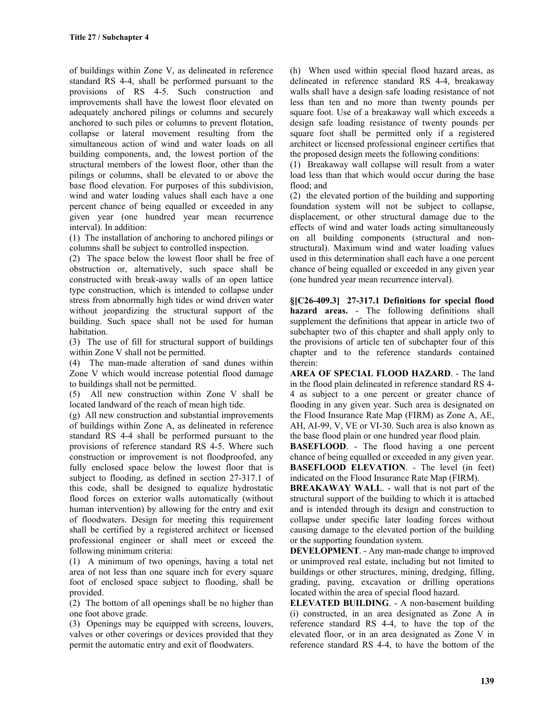of buildings within Zone V, as delineated in reference standard RS 4-4, shall be performed pursuant to the provisions of RS 4-5. Such construction and improvements shall have the lowest floor elevated on adequately anchored pilings or columns and securely anchored to such piles or columns to prevent flotation, collapse or lateral movement resulting from the simultaneous action of wind and water loads on all building components, and, the lowest portion of the structural members of the lowest floor, other than the pilings or columns, shall be elevated to or above the base flood elevation. For purposes of this subdivision, wind and water loading values shall each have a one percent chance of being equalled or exceeded in any given year (one hundred year mean recurrence interval). In addition:

(1) The installation of anchoring to anchored pilings or columns shall be subject to controlled inspection.

(2) The space below the lowest floor shall be free of obstruction or, alternatively, such space shall be constructed with break-away walls of an open lattice type construction, which is intended to collapse under stress from abnormally high tides or wind driven water without jeopardizing the structural support of the building. Such space shall not be used for human habitation.

(3) The use of fill for structural support of buildings within Zone V shall not be permitted.

(4) The man-made alteration of sand dunes within Zone V which would increase potential flood damage to buildings shall not be permitted.

(5) All new construction within Zone V shall be located landward of the reach of mean high tide.

(g) All new construction and substantial improvements of buildings within Zone A, as delineated in reference standard RS 4-4 shall be performed pursuant to the provisions of reference standard RS 4-5. Where such construction or improvement is not floodproofed, any fully enclosed space below the lowest floor that is subject to flooding, as defined in section 27-317.1 of this code, shall be designed to equalize hydrostatic flood forces on exterior walls automatically (without human intervention) by allowing for the entry and exit of floodwaters. Design for meeting this requirement shall be certified by a registered architect or licensed professional engineer or shall meet or exceed the following minimum criteria:

(1) A minimum of two openings, having a total net area of not less than one square inch for every square foot of enclosed space subject to flooding, shall be provided.

(2) The bottom of all openings shall be no higher than one foot above grade.

(3) Openings may be equipped with screens, louvers, valves or other coverings or devices provided that they permit the automatic entry and exit of floodwaters.

(h) When used within special flood hazard areas, as delineated in reference standard RS 4-4, breakaway walls shall have a design safe loading resistance of not less than ten and no more than twenty pounds per square foot. Use of a breakaway wall which exceeds a design safe loading resistance of twenty pounds per square foot shall be permitted only if a registered architect or licensed professional engineer certifies that the proposed design meets the following conditions:

(1) Breakaway wall collapse will result from a water load less than that which would occur during the base flood; and

(2) the elevated portion of the building and supporting foundation system will not be subject to collapse, displacement, or other structural damage due to the effects of wind and water loads acting simultaneously on all building components (structural and nonstructural). Maximum wind and water loading values used in this determination shall each have a one percent chance of being equalled or exceeded in any given year (one hundred year mean recurrence interval).

**§[C26-409.3] 27-317.1 Definitions for special flood hazard areas.** - The following definitions shall supplement the definitions that appear in article two of subchapter two of this chapter and shall apply only to the provisions of article ten of subchapter four of this chapter and to the reference standards contained therein:

**AREA OF SPECIAL FLOOD HAZARD**. - The land in the flood plain delineated in reference standard RS 4- 4 as subject to a one percent or greater chance of flooding in any given year. Such area is designated on the Flood Insurance Rate Map (FIRM) as Zone A, AE, AH, AI-99, V, VE or VI-30. Such area is also known as the base flood plain or one hundred year flood plain.

**BASEFLOOD**. - The flood having a one percent chance of being equalled or exceeded in any given year. **BASEFLOOD ELEVATION**. - The level (in feet) indicated on the Flood Insurance Rate Map (FIRM).

**BREAKAWAY WALL**. - wall that is not part of the structural support of the building to which it is attached and is intended through its design and construction to collapse under specific later loading forces without causing damage to the elevated portion of the building or the supporting foundation system.

**DEVELOPMENT**. - Any man-made change to improved or unimproved real estate, including but not limited to buildings or other structures, mining, dredging, filling, grading, paving, excavation or drilling operations located within the area of special flood hazard.

**ELEVATED BUILDING**. - A non-basement building (i) constructed, in an area designated as Zone A in reference standard RS 4-4, to have the top of the elevated floor, or in an area designated as Zone V in reference standard RS 4-4, to have the bottom of the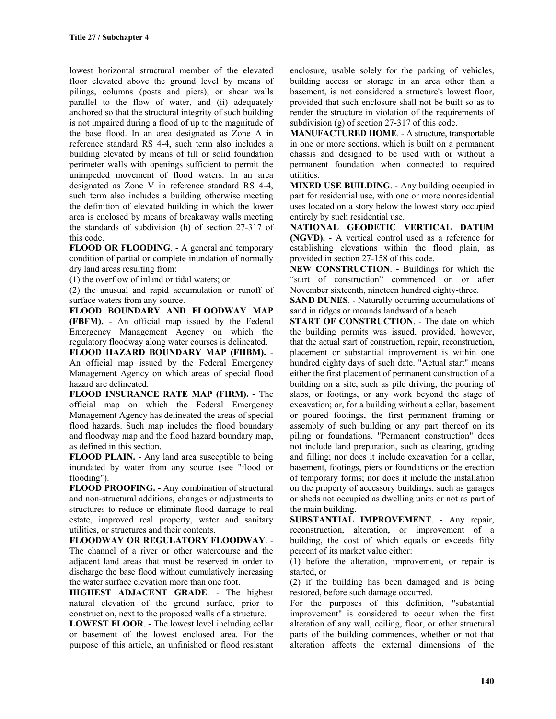lowest horizontal structural member of the elevated floor elevated above the ground level by means of pilings, columns (posts and piers), or shear walls parallel to the flow of water, and (ii) adequately anchored so that the structural integrity of such building is not impaired during a flood of up to the magnitude of the base flood. In an area designated as Zone A in reference standard RS 4-4, such term also includes a building elevated by means of fill or solid foundation perimeter walls with openings sufficient to permit the unimpeded movement of flood waters. In an area designated as Zone V in reference standard RS 4-4, such term also includes a building otherwise meeting the definition of elevated building in which the lower area is enclosed by means of breakaway walls meeting the standards of subdivision (h) of section 27-317 of this code.

**FLOOD OR FLOODING**. - A general and temporary condition of partial or complete inundation of normally dry land areas resulting from:

(1) the overflow of inland or tidal waters; or

(2) the unusual and rapid accumulation or runoff of surface waters from any source.

**FLOOD BOUNDARY AND FLOODWAY MAP (FBFM).** - An official map issued by the Federal Emergency Management Agency on which the regulatory floodway along water courses is delineated.

**FLOOD HAZARD BOUNDARY MAP (FHBM).** - An official map issued by the Federal Emergency Management Agency on which areas of special flood hazard are delineated.

**FLOOD INSURANCE RATE MAP (FIRM). -** The official map on which the Federal Emergency Management Agency has delineated the areas of special flood hazards. Such map includes the flood boundary and floodway map and the flood hazard boundary map, as defined in this section.

**FLOOD PLAIN.** - Any land area susceptible to being inundated by water from any source (see "flood or flooding").

**FLOOD PROOFING. -** Any combination of structural and non-structural additions, changes or adjustments to structures to reduce or eliminate flood damage to real estate, improved real property, water and sanitary utilities, or structures and their contents.

**FLOODWAY OR REGULATORY FLOODWAY**. - The channel of a river or other watercourse and the adjacent land areas that must be reserved in order to discharge the base flood without cumulatively increasing the water surface elevation more than one foot.

**HIGHEST ADJACENT GRADE**. - The highest natural elevation of the ground surface, prior to construction, next to the proposed walls of a structure.

**LOWEST FLOOR**. - The lowest level including cellar or basement of the lowest enclosed area. For the purpose of this article, an unfinished or flood resistant enclosure, usable solely for the parking of vehicles, building access or storage in an area other than a basement, is not considered a structure's lowest floor, provided that such enclosure shall not be built so as to render the structure in violation of the requirements of subdivision (g) of section 27-317 of this code.

**MANUFACTURED HOME**. - A structure, transportable in one or more sections, which is built on a permanent chassis and designed to be used with or without a permanent foundation when connected to required utilities.

**MIXED USE BUILDING**. - Any building occupied in part for residential use, with one or more nonresidential uses located on a story below the lowest story occupied entirely by such residential use.

**NATIONAL GEODETIC VERTICAL DATUM (NGVD).** - A vertical control used as a reference for establishing elevations within the flood plain, as provided in section 27-158 of this code.

**NEW CONSTRUCTION**. - Buildings for which the "start of construction" commenced on or after November sixteenth, nineteen hundred eighty-three.

**SAND DUNES**. - Naturally occurring accumulations of sand in ridges or mounds landward of a beach.

**START OF CONSTRUCTION**. - The date on which the building permits was issued, provided, however, that the actual start of construction, repair, reconstruction, placement or substantial improvement is within one hundred eighty days of such date. "Actual start" means either the first placement of permanent construction of a building on a site, such as pile driving, the pouring of slabs, or footings, or any work beyond the stage of excavation; or, for a building without a cellar, basement or poured footings, the first permanent framing or assembly of such building or any part thereof on its piling or foundations. "Permanent construction" does not include land preparation, such as clearing, grading and filling; nor does it include excavation for a cellar, basement, footings, piers or foundations or the erection of temporary forms; nor does it include the installation on the property of accessory buildings, such as garages or sheds not occupied as dwelling units or not as part of the main building.

**SUBSTANTIAL IMPROVEMENT**. - Any repair, reconstruction, alteration, or improvement of a building, the cost of which equals or exceeds fifty percent of its market value either:

(1) before the alteration, improvement, or repair is started, or

(2) if the building has been damaged and is being restored, before such damage occurred.

For the purposes of this definition, "substantial improvement" is considered to occur when the first alteration of any wall, ceiling, floor, or other structural parts of the building commences, whether or not that alteration affects the external dimensions of the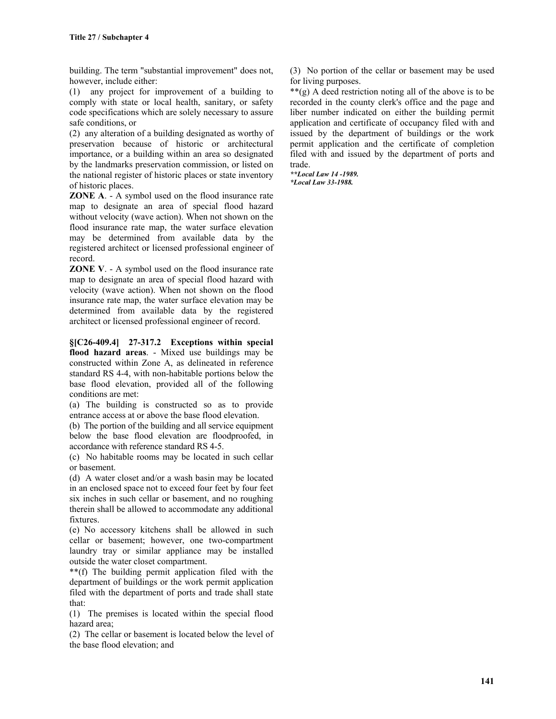building. The term "substantial improvement" does not, however, include either:

(1) any project for improvement of a building to comply with state or local health, sanitary, or safety code specifications which are solely necessary to assure safe conditions, or

(2) any alteration of a building designated as worthy of preservation because of historic or architectural importance, or a building within an area so designated by the landmarks preservation commission, or listed on the national register of historic places or state inventory of historic places.

**ZONE A**. - A symbol used on the flood insurance rate map to designate an area of special flood hazard without velocity (wave action). When not shown on the flood insurance rate map, the water surface elevation may be determined from available data by the registered architect or licensed professional engineer of record.

**ZONE V**. - A symbol used on the flood insurance rate map to designate an area of special flood hazard with velocity (wave action). When not shown on the flood insurance rate map, the water surface elevation may be determined from available data by the registered architect or licensed professional engineer of record.

**§[C26-409.4] 27-317.2 Exceptions within special flood hazard areas**. - Mixed use buildings may be constructed within Zone A, as delineated in reference standard RS 4-4, with non-habitable portions below the base flood elevation, provided all of the following conditions are met:

(a) The building is constructed so as to provide entrance access at or above the base flood elevation.

(b) The portion of the building and all service equipment below the base flood elevation are floodproofed, in accordance with reference standard RS 4-5.

(c) No habitable rooms may be located in such cellar or basement.

(d) A water closet and/or a wash basin may be located in an enclosed space not to exceed four feet by four feet six inches in such cellar or basement, and no roughing therein shall be allowed to accommodate any additional fixtures.

(e) No accessory kitchens shall be allowed in such cellar or basement; however, one two-compartment laundry tray or similar appliance may be installed outside the water closet compartment.

\*\*(f) The building permit application filed with the department of buildings or the work permit application filed with the department of ports and trade shall state that:

(1) The premises is located within the special flood hazard area;

(2) The cellar or basement is located below the level of the base flood elevation; and

(3) No portion of the cellar or basement may be used for living purposes.

\*\*(g) A deed restriction noting all of the above is to be recorded in the county clerk's office and the page and liber number indicated on either the building permit application and certificate of occupancy filed with and issued by the department of buildings or the work permit application and the certificate of completion filed with and issued by the department of ports and trade.

*\*\*Local Law 14 -1989. \*Local Law 33-1988.*